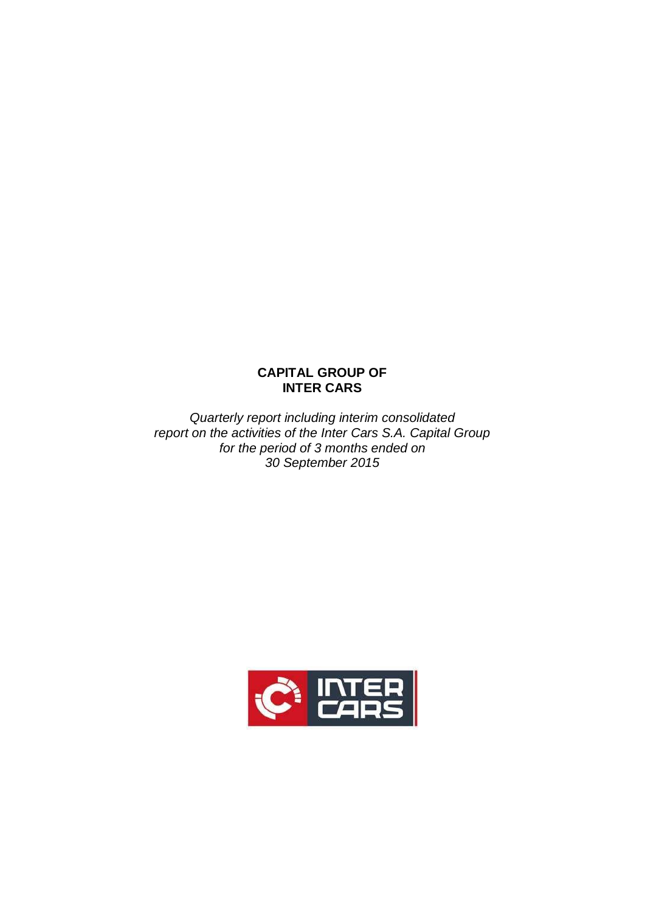# **CAPITAL GROUP OF INTER CARS**

*Quarterly report including interim consolidated report on the activities of the Inter Cars S.A. Capital Group for the period of 3 months ended on 30 September 2015*

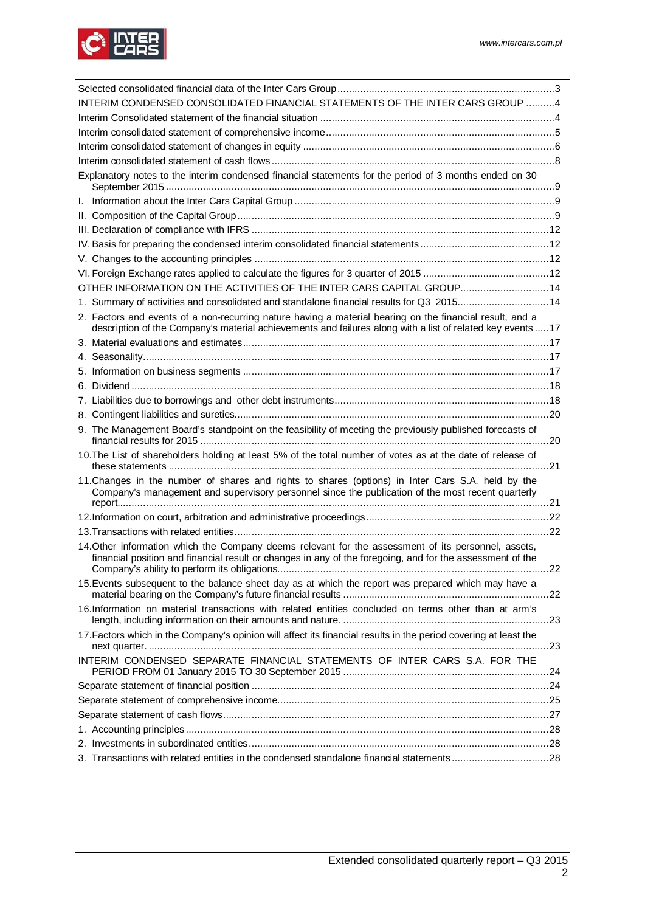

| INTERIM CONDENSED CONSOLIDATED FINANCIAL STATEMENTS OF THE INTER CARS GROUP 4                                                                                                                                          |     |
|------------------------------------------------------------------------------------------------------------------------------------------------------------------------------------------------------------------------|-----|
|                                                                                                                                                                                                                        |     |
|                                                                                                                                                                                                                        |     |
|                                                                                                                                                                                                                        |     |
|                                                                                                                                                                                                                        |     |
| Explanatory notes to the interim condensed financial statements for the period of 3 months ended on 30                                                                                                                 |     |
|                                                                                                                                                                                                                        |     |
|                                                                                                                                                                                                                        |     |
|                                                                                                                                                                                                                        |     |
|                                                                                                                                                                                                                        |     |
|                                                                                                                                                                                                                        |     |
|                                                                                                                                                                                                                        |     |
| OTHER INFORMATION ON THE ACTIVITIES OF THE INTER CARS CAPITAL GROUP 14                                                                                                                                                 |     |
|                                                                                                                                                                                                                        |     |
| 1. Summary of activities and consolidated and standalone financial results for Q3 201514                                                                                                                               |     |
| 2. Factors and events of a non-recurring nature having a material bearing on the financial result, and a<br>description of the Company's material achievements and failures along with a list of related key events 17 |     |
|                                                                                                                                                                                                                        |     |
|                                                                                                                                                                                                                        |     |
|                                                                                                                                                                                                                        |     |
|                                                                                                                                                                                                                        |     |
|                                                                                                                                                                                                                        |     |
|                                                                                                                                                                                                                        |     |
| 9. The Management Board's standpoint on the feasibility of meeting the previously published forecasts of                                                                                                               |     |
| 10. The List of shareholders holding at least 5% of the total number of votes as at the date of release of                                                                                                             |     |
| 11. Changes in the number of shares and rights to shares (options) in Inter Cars S.A. held by the<br>Company's management and supervisory personnel since the publication of the most recent quarterly                 |     |
|                                                                                                                                                                                                                        |     |
|                                                                                                                                                                                                                        |     |
| 14. Other information which the Company deems relevant for the assessment of its personnel, assets,<br>financial position and financial result or changes in any of the foregoing, and for the assessment of the       | .22 |
| 15. Events subsequent to the balance sheet day as at which the report was prepared which may have a                                                                                                                    |     |
| 16.Information on material transactions with related entities concluded on terms other than at arm's                                                                                                                   |     |
| 17. Factors which in the Company's opinion will affect its financial results in the period covering at least the                                                                                                       |     |
| INTERIM CONDENSED SEPARATE FINANCIAL STATEMENTS OF INTER CARS S.A. FOR THE                                                                                                                                             |     |
|                                                                                                                                                                                                                        |     |
|                                                                                                                                                                                                                        |     |
|                                                                                                                                                                                                                        |     |
|                                                                                                                                                                                                                        |     |
|                                                                                                                                                                                                                        |     |
| 3. Transactions with related entities in the condensed standalone financial statements28                                                                                                                               |     |
|                                                                                                                                                                                                                        |     |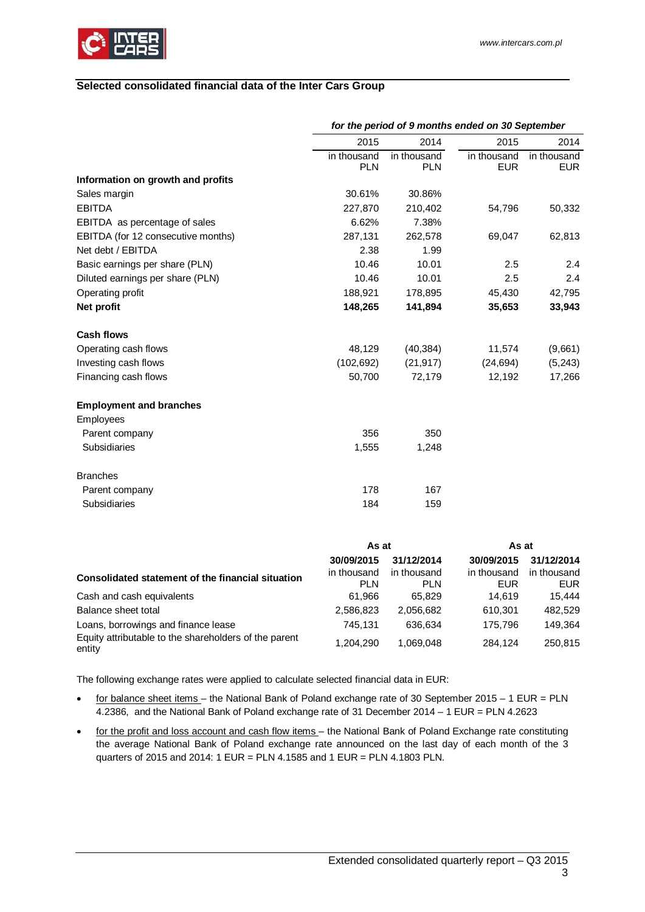

### <span id="page-2-0"></span>**Selected consolidated financial data of the Inter Cars Group**

|                                    | for the period of 9 months ended on 30 September |                           |                           |                           |  |
|------------------------------------|--------------------------------------------------|---------------------------|---------------------------|---------------------------|--|
|                                    | 2015                                             | 2014                      | 2015                      | 2014                      |  |
|                                    | in thousand<br><b>PLN</b>                        | in thousand<br><b>PLN</b> | in thousand<br><b>EUR</b> | in thousand<br><b>EUR</b> |  |
| Information on growth and profits  |                                                  |                           |                           |                           |  |
| Sales margin                       | 30.61%                                           | 30.86%                    |                           |                           |  |
| <b>EBITDA</b>                      | 227,870                                          | 210,402                   | 54,796                    | 50,332                    |  |
| EBITDA as percentage of sales      | 6.62%                                            | 7.38%                     |                           |                           |  |
| EBITDA (for 12 consecutive months) | 287,131                                          | 262,578                   | 69,047                    | 62,813                    |  |
| Net debt / EBITDA                  | 2.38                                             | 1.99                      |                           |                           |  |
| Basic earnings per share (PLN)     | 10.46                                            | 10.01                     | 2.5                       | 2.4                       |  |
| Diluted earnings per share (PLN)   | 10.46                                            | 10.01                     | 2.5                       | 2.4                       |  |
| Operating profit                   | 188,921                                          | 178,895                   | 45,430                    | 42,795                    |  |
| Net profit                         | 148,265                                          | 141,894                   | 35,653                    | 33,943                    |  |
| <b>Cash flows</b>                  |                                                  |                           |                           |                           |  |
| Operating cash flows               | 48,129                                           | (40, 384)                 | 11,574                    | (9,661)                   |  |
| Investing cash flows               | (102, 692)                                       | (21, 917)                 | (24, 694)                 | (5,243)                   |  |
| Financing cash flows               | 50,700                                           | 72,179                    | 12,192                    | 17,266                    |  |
| <b>Employment and branches</b>     |                                                  |                           |                           |                           |  |
| <b>Employees</b>                   |                                                  |                           |                           |                           |  |
| Parent company                     | 356                                              | 350                       |                           |                           |  |
| Subsidiaries                       | 1,555                                            | 1,248                     |                           |                           |  |
| <b>Branches</b>                    |                                                  |                           |                           |                           |  |
| Parent company                     | 178                                              | 167                       |                           |                           |  |
| Subsidiaries                       | 184                                              | 159                       |                           |                           |  |
|                                    |                                                  |                           |                           |                           |  |

|                                                                 | As at       |             | As at       |             |
|-----------------------------------------------------------------|-------------|-------------|-------------|-------------|
|                                                                 | 30/09/2015  | 31/12/2014  | 30/09/2015  | 31/12/2014  |
| Consolidated statement of the financial situation               | in thousand | in thousand | in thousand | in thousand |
|                                                                 | <b>PLN</b>  | <b>PLN</b>  | EUR         | EUR         |
| Cash and cash equivalents                                       | 61.966      | 65.829      | 14.619      | 15.444      |
| Balance sheet total                                             | 2.586.823   | 2,056,682   | 610.301     | 482,529     |
| Loans, borrowings and finance lease                             | 745.131     | 636.634     | 175.796     | 149,364     |
| Equity attributable to the shareholders of the parent<br>entity | 1,204,290   | 1.069.048   | 284.124     | 250.815     |

The following exchange rates were applied to calculate selected financial data in EUR:

- for balance sheet items the National Bank of Poland exchange rate of 30 September 2015 1 EUR = PLN 4.2386, and the National Bank of Poland exchange rate of 31 December 2014 – 1 EUR = PLN 4.2623
- for the profit and loss account and cash flow items – the National Bank of Poland Exchange rate constituting the average National Bank of Poland exchange rate announced on the last day of each month of the 3 quarters of 2015 and 2014: 1 EUR = PLN 4.1585 and 1 EUR = PLN 4.1803 PLN.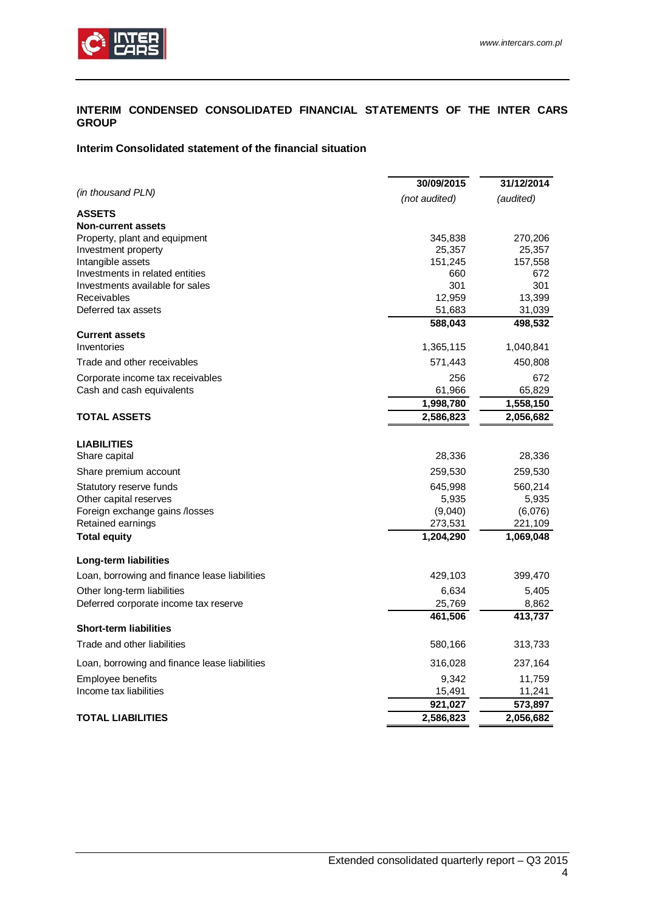

### <span id="page-3-0"></span>**INTERIM CONDENSED CONSOLIDATED FINANCIAL STATEMENTS OF THE INTER CARS GROUP**

### <span id="page-3-1"></span>**Interim Consolidated statement of the financial situation**

|                                                     | 30/09/2015         | 31/12/2014         |
|-----------------------------------------------------|--------------------|--------------------|
| (in thousand PLN)                                   | (not audited)      | (audited)          |
| <b>ASSETS</b>                                       |                    |                    |
| <b>Non-current assets</b>                           |                    |                    |
| Property, plant and equipment                       | 345,838            | 270,206            |
| Investment property                                 | 25,357             | 25,357             |
| Intangible assets                                   | 151,245            | 157,558            |
| Investments in related entities                     | 660                | 672                |
| Investments available for sales                     | 301                | 301                |
| Receivables                                         | 12,959             | 13,399             |
| Deferred tax assets                                 | 51,683             | 31,039             |
|                                                     | 588,043            | 498,532            |
| <b>Current assets</b><br>Inventories                | 1,365,115          | 1,040,841          |
| Trade and other receivables                         | 571,443            | 450,808            |
| Corporate income tax receivables                    | 256                | 672                |
| Cash and cash equivalents                           | 61,966             | 65,829             |
|                                                     | 1,998,780          | 1,558,150          |
| <b>TOTAL ASSETS</b>                                 | 2,586,823          | 2,056,682          |
|                                                     |                    |                    |
| <b>LIABILITIES</b>                                  |                    |                    |
| Share capital                                       | 28,336             | 28,336             |
| Share premium account                               | 259,530            | 259,530            |
| Statutory reserve funds                             | 645,998            | 560,214            |
| Other capital reserves                              | 5,935              | 5,935              |
| Foreign exchange gains /losses<br>Retained earnings | (9,040)<br>273,531 | (6,076)<br>221,109 |
| <b>Total equity</b>                                 | 1,204,290          | 1,069,048          |
|                                                     |                    |                    |
| Long-term liabilities                               |                    |                    |
| Loan, borrowing and finance lease liabilities       | 429,103            | 399,470            |
| Other long-term liabilities                         | 6,634              | 5,405              |
| Deferred corporate income tax reserve               | 25,769             | 8,862              |
|                                                     | 461,506            | 413,737            |
| <b>Short-term liabilities</b>                       |                    |                    |
| Trade and other liabilities                         | 580,166            | 313,733            |
| Loan, borrowing and finance lease liabilities       | 316,028            | 237,164            |
| Employee benefits                                   | 9,342              | 11,759             |
| Income tax liabilities                              | 15,491             | 11,241             |
|                                                     | 921,027            | 573,897            |
| <b>TOTAL LIABILITIES</b>                            | 2,586,823          | 2,056,682          |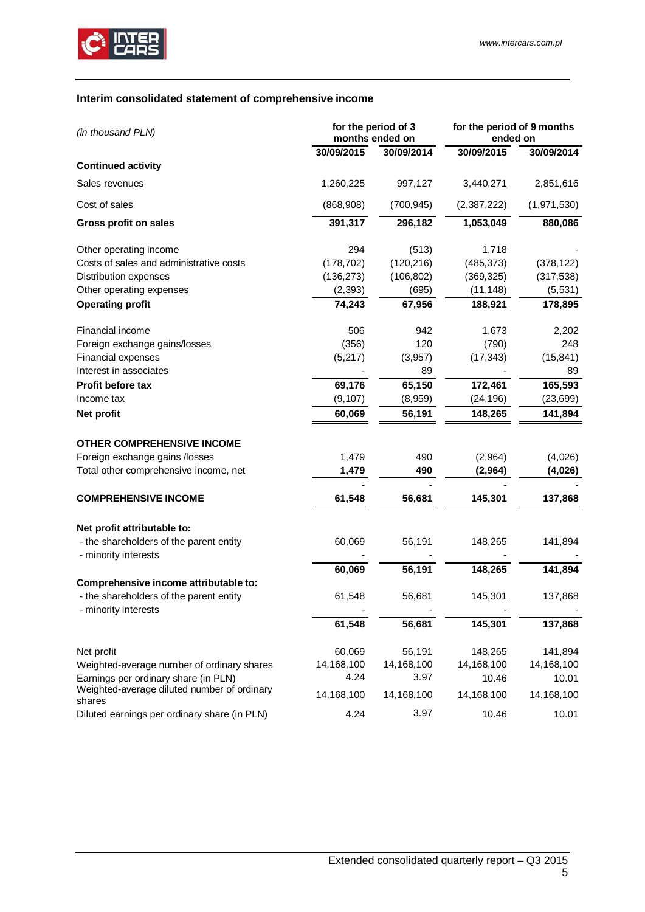

# <span id="page-4-0"></span>**Interim consolidated statement of comprehensive income**

| (in thousand PLN)                                                      | for the period of 3<br>months ended on |            | for the period of 9 months<br>ended on |             |
|------------------------------------------------------------------------|----------------------------------------|------------|----------------------------------------|-------------|
|                                                                        | 30/09/2015                             | 30/09/2014 | 30/09/2015                             | 30/09/2014  |
| <b>Continued activity</b>                                              |                                        |            |                                        |             |
| Sales revenues                                                         | 1,260,225                              | 997,127    | 3,440,271                              | 2,851,616   |
| Cost of sales                                                          | (868,908)                              | (700, 945) | (2,387,222)                            | (1,971,530) |
| <b>Gross profit on sales</b>                                           | 391,317                                | 296,182    | 1,053,049                              | 880,086     |
| Other operating income                                                 | 294                                    | (513)      | 1,718                                  |             |
| Costs of sales and administrative costs                                | (178, 702)                             | (120, 216) | (485, 373)                             | (378, 122)  |
| Distribution expenses                                                  | (136, 273)                             | (106, 802) | (369, 325)                             | (317, 538)  |
| Other operating expenses                                               | (2, 393)                               | (695)      | (11, 148)                              | (5,531)     |
| <b>Operating profit</b>                                                | 74,243                                 | 67,956     | 188,921                                | 178,895     |
| Financial income                                                       | 506                                    | 942        | 1,673                                  | 2,202       |
| Foreign exchange gains/losses                                          | (356)                                  | 120        | (790)                                  | 248         |
| Financial expenses                                                     | (5,217)                                | (3,957)    | (17, 343)                              | (15, 841)   |
| Interest in associates                                                 |                                        | 89         |                                        | 89          |
| <b>Profit before tax</b>                                               | 69,176                                 | 65,150     | 172,461                                | 165,593     |
| Income tax                                                             | (9, 107)                               | (8,959)    | (24, 196)                              | (23, 699)   |
| Net profit                                                             | 60,069                                 | 56,191     | 148,265                                | 141,894     |
| <b>OTHER COMPREHENSIVE INCOME</b>                                      |                                        |            |                                        |             |
| Foreign exchange gains /losses                                         | 1,479                                  | 490        | (2,964)                                | (4,026)     |
| Total other comprehensive income, net                                  | 1,479                                  | 490        | (2,964)                                | (4,026)     |
|                                                                        |                                        |            |                                        |             |
| <b>COMPREHENSIVE INCOME</b>                                            | 61,548                                 | 56,681     | 145,301                                | 137,868     |
|                                                                        |                                        |            |                                        |             |
| Net profit attributable to:<br>- the shareholders of the parent entity | 60,069                                 | 56,191     | 148,265                                | 141,894     |
| - minority interests                                                   |                                        |            |                                        |             |
|                                                                        | 60,069                                 | 56,191     | 148,265                                | 141,894     |
| Comprehensive income attributable to:                                  |                                        |            |                                        |             |
| - the shareholders of the parent entity<br>- minority interests        | 61,548                                 | 56,681     | 145,301                                | 137,868     |
|                                                                        | 61,548                                 | 56,681     | 145,301                                | 137,868     |
| Net profit                                                             | 60,069                                 | 56,191     | 148,265                                | 141,894     |
| Weighted-average number of ordinary shares                             | 14,168,100                             | 14,168,100 | 14,168,100                             | 14,168,100  |
| Earnings per ordinary share (in PLN)                                   | 4.24                                   | 3.97       | 10.46                                  | 10.01       |
| Weighted-average diluted number of ordinary<br>shares                  | 14,168,100                             | 14,168,100 | 14,168,100                             | 14,168,100  |
| Diluted earnings per ordinary share (in PLN)                           | 4.24                                   | 3.97       | 10.46                                  | 10.01       |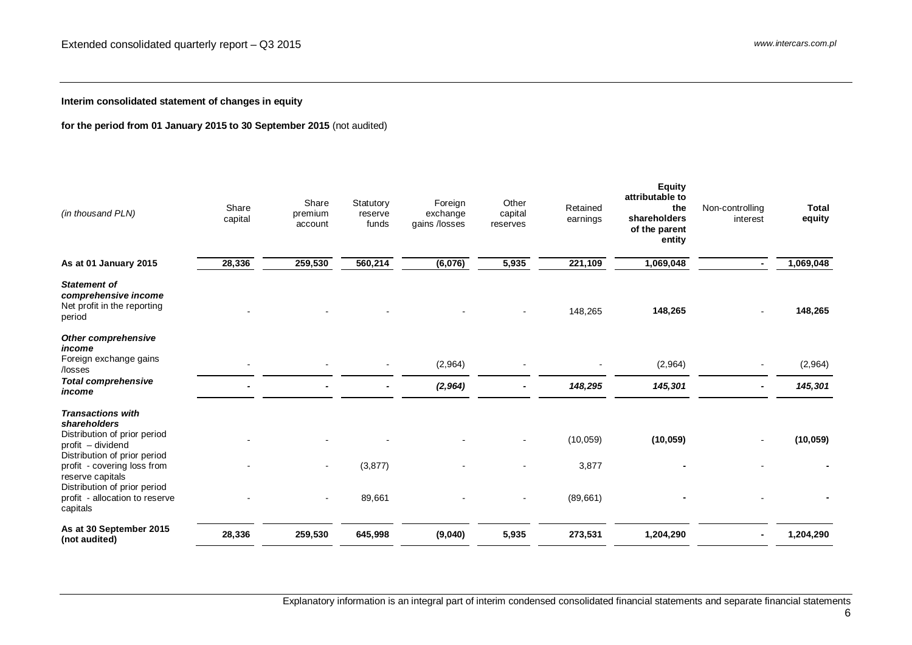**Interim consolidated statement of changes in equity**

# **for the period from 01 January 2015 to 30 September 2015** (not audited)

<span id="page-5-0"></span>

| (in thousand PLN)                                                                                                                                                                                                | Share<br>capital | Share<br>premium<br>account | Statutory<br>reserve<br>funds | Foreign<br>exchange<br>gains /losses | Other<br>capital<br>reserves | Retained<br>earnings | <b>Equity</b><br>attributable to<br>the<br>shareholders<br>of the parent<br>entity | Non-controlling<br>interest | <b>Total</b><br>equity |
|------------------------------------------------------------------------------------------------------------------------------------------------------------------------------------------------------------------|------------------|-----------------------------|-------------------------------|--------------------------------------|------------------------------|----------------------|------------------------------------------------------------------------------------|-----------------------------|------------------------|
| As at 01 January 2015                                                                                                                                                                                            | 28,336           | 259,530                     | 560,214                       | (6,076)                              | 5,935                        | 221,109              | 1,069,048                                                                          | $\blacksquare$              | 1,069,048              |
| <b>Statement of</b><br>comprehensive income<br>Net profit in the reporting<br>period                                                                                                                             |                  |                             |                               |                                      |                              | 148,265              | 148,265                                                                            |                             | 148,265                |
| <b>Other comprehensive</b><br>income<br>Foreign exchange gains<br>/losses                                                                                                                                        |                  |                             |                               | (2,964)                              |                              |                      | (2,964)                                                                            |                             | (2,964)                |
| <b>Total comprehensive</b><br>income                                                                                                                                                                             |                  |                             |                               | (2, 964)                             |                              | 148,295              | 145,301                                                                            |                             | 145,301                |
| <b>Transactions with</b><br>shareholders<br>Distribution of prior period<br>profit – dividend<br>Distribution of prior period<br>profit - covering loss from<br>reserve capitals<br>Distribution of prior period |                  | $\blacksquare$              | (3, 877)                      |                                      |                              | (10, 059)<br>3,877   | (10, 059)                                                                          |                             | (10, 059)              |
| profit - allocation to reserve<br>capitals                                                                                                                                                                       |                  |                             | 89,661                        |                                      | $\overline{\phantom{a}}$     | (89, 661)            |                                                                                    |                             |                        |
| As at 30 September 2015<br>(not audited)                                                                                                                                                                         | 28,336           | 259,530                     | 645,998                       | (9,040)                              | 5,935                        | 273,531              | 1,204,290                                                                          |                             | 1,204,290              |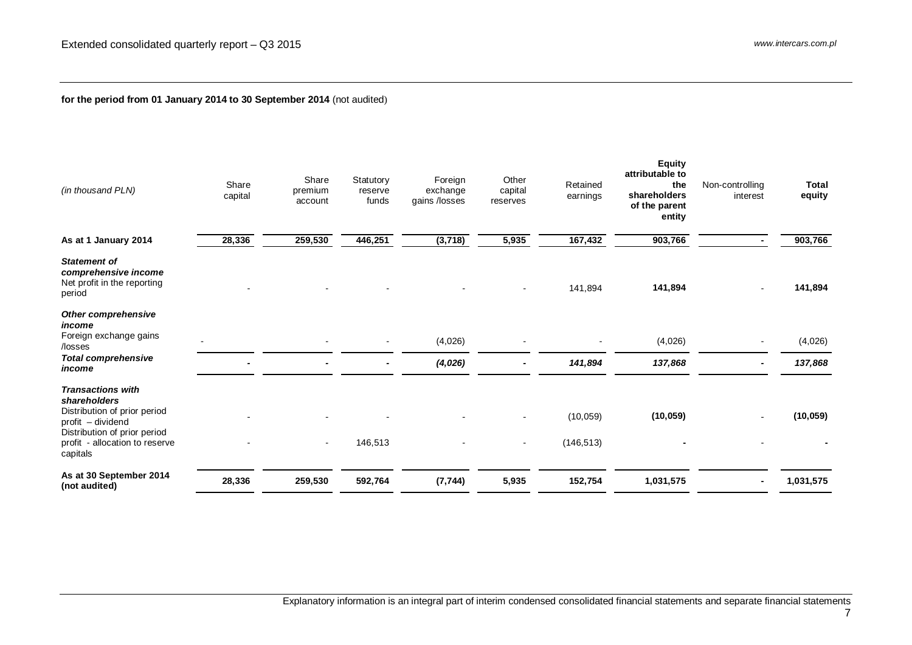# **for the period from 01 January 2014 to 30 September 2014** (not audited)

| (in thousand PLN)                                                                                                                                                           | Share<br>capital | Share<br>premium<br>account | Statutory<br>reserve<br>funds | Foreign<br>exchange<br>gains /losses | Other<br>capital<br>reserves | Retained<br>earnings    | <b>Equity</b><br>attributable to<br>the<br>shareholders<br>of the parent<br>entity | Non-controlling<br>interest | Total<br>equity |
|-----------------------------------------------------------------------------------------------------------------------------------------------------------------------------|------------------|-----------------------------|-------------------------------|--------------------------------------|------------------------------|-------------------------|------------------------------------------------------------------------------------|-----------------------------|-----------------|
| As at 1 January 2014                                                                                                                                                        | 28,336           | 259,530                     | 446,251                       | (3,718)                              | 5,935                        | 167,432                 | 903,766                                                                            |                             | 903,766         |
| <b>Statement of</b><br>comprehensive income<br>Net profit in the reporting<br>period                                                                                        |                  |                             |                               |                                      |                              | 141,894                 | 141,894                                                                            |                             | 141,894         |
| Other comprehensive<br>income<br>Foreign exchange gains<br>/losses                                                                                                          |                  |                             |                               | (4,026)                              |                              |                         | (4,026)                                                                            |                             | (4,026)         |
| <b>Total comprehensive</b><br>income                                                                                                                                        |                  |                             |                               | (4,026)                              |                              | 141,894                 | 137,868                                                                            |                             | 137,868         |
| <b>Transactions with</b><br>shareholders<br>Distribution of prior period<br>profit - dividend<br>Distribution of prior period<br>profit - allocation to reserve<br>capitals |                  | $\blacksquare$              | 146,513                       |                                      |                              | (10, 059)<br>(146, 513) | (10, 059)                                                                          |                             | (10, 059)       |
| As at 30 September 2014<br>(not audited)                                                                                                                                    | 28,336           | 259,530                     | 592,764                       | (7, 744)                             | 5,935                        | 152,754                 | 1,031,575                                                                          |                             | 1,031,575       |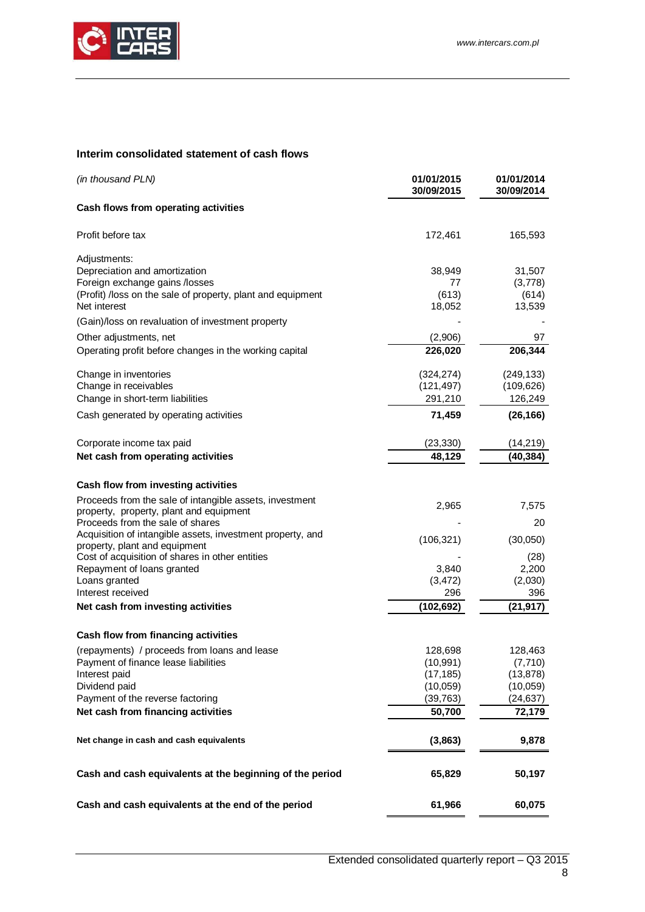

# <span id="page-7-0"></span>**Interim consolidated statement of cash flows**

| (in thousand PLN)                                                                           | 01/01/2015<br>30/09/2015 | 01/01/2014<br>30/09/2014 |
|---------------------------------------------------------------------------------------------|--------------------------|--------------------------|
| Cash flows from operating activities                                                        |                          |                          |
| Profit before tax                                                                           | 172,461                  | 165,593                  |
| Adjustments:                                                                                |                          |                          |
| Depreciation and amortization                                                               | 38,949                   | 31,507                   |
| Foreign exchange gains /losses                                                              | 77                       | (3,778)                  |
| (Profit) /loss on the sale of property, plant and equipment<br>Net interest                 | (613)<br>18,052          | (614)<br>13,539          |
| (Gain)/loss on revaluation of investment property                                           |                          |                          |
| Other adjustments, net                                                                      | (2,906)                  | 97                       |
| Operating profit before changes in the working capital                                      | 226,020                  | 206,344                  |
| Change in inventories                                                                       | (324, 274)               | (249, 133)               |
| Change in receivables                                                                       | (121, 497)               | (109, 626)               |
| Change in short-term liabilities                                                            | 291,210                  | 126,249                  |
| Cash generated by operating activities                                                      | 71,459                   | (26, 166)                |
| Corporate income tax paid                                                                   | (23, 330)                | (14,219)                 |
| Net cash from operating activities                                                          | 48,129                   | (40, 384)                |
| Cash flow from investing activities                                                         |                          |                          |
| Proceeds from the sale of intangible assets, investment                                     |                          |                          |
| property, property, plant and equipment                                                     | 2,965                    | 7,575                    |
| Proceeds from the sale of shares                                                            |                          | 20                       |
| Acquisition of intangible assets, investment property, and<br>property, plant and equipment | (106, 321)               | (30,050)                 |
| Cost of acquisition of shares in other entities                                             |                          | (28)                     |
| Repayment of loans granted                                                                  | 3,840                    | 2,200                    |
| Loans granted                                                                               | (3, 472)                 | (2,030)                  |
| Interest received                                                                           | 296                      | 396                      |
| Net cash from investing activities                                                          | (102, 692)               | (21, 917)                |
| Cash flow from financing activities                                                         |                          |                          |
| (repayments) / proceeds from loans and lease                                                | 128,698                  | 128,463                  |
| Payment of finance lease liabilities                                                        | (10, 991)                | (7, 710)                 |
| Interest paid                                                                               | (17, 185)                | (13, 878)                |
| Dividend paid                                                                               | (10,059)                 | (10,059)                 |
| Payment of the reverse factoring                                                            | (39, 763)                | (24, 637)                |
| Net cash from financing activities                                                          | 50,700                   | 72,179                   |
| Net change in cash and cash equivalents                                                     | (3,863)                  | 9,878                    |
| Cash and cash equivalents at the beginning of the period                                    | 65,829                   | 50,197                   |
| Cash and cash equivalents at the end of the period                                          | 61,966                   | 60,075                   |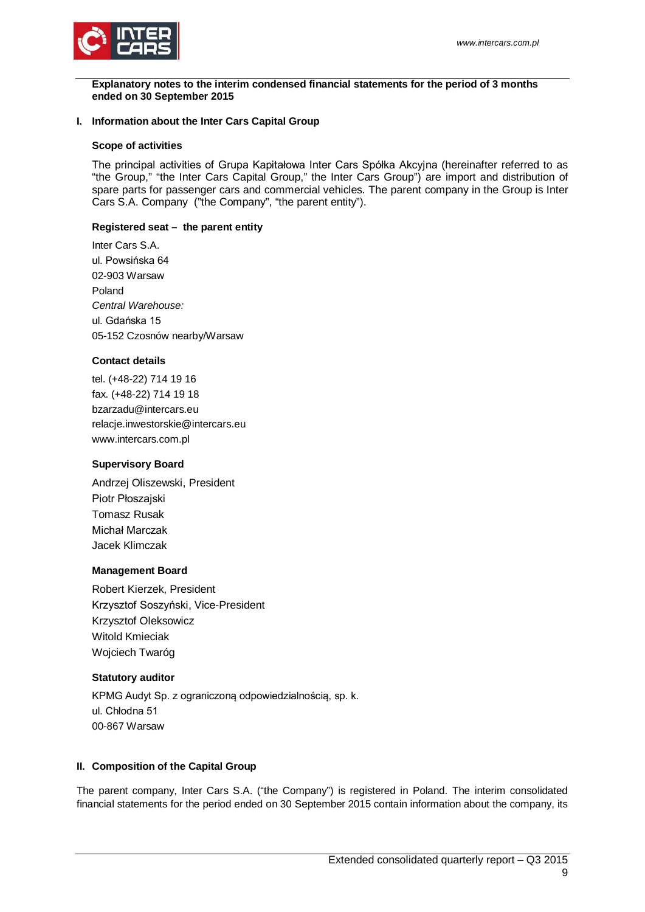

<span id="page-8-0"></span>**Explanatory notes to the interim condensed financial statements for the period of 3 months ended on 30 September 2015**

### <span id="page-8-1"></span>**I. Information about the Inter Cars Capital Group**

### **Scope of activities**

The principal activities of Grupa Kapitałowa Inter Cars Spółka Akcyjna (hereinafter referred to as "the Group," "the Inter Cars Capital Group," the Inter Cars Group") are import and distribution of spare parts for passenger cars and commercial vehicles. The parent company in the Group is Inter Cars S.A. Company ("the Company", "the parent entity").

### **Registered seat – the parent entity**

Inter Cars S.A. ul. Powsińska 64 02-903 Warsaw Poland *Central Warehouse:* ul. Gdańska 15 05-152 Czosnów nearby/Warsaw

### **Contact details**

tel. (+48-22) 714 19 16 fax. (+48-22) 714 19 18 bzarzadu@intercars.eu relacje.inwestorskie@intercars.eu www.intercars.com.pl

### **Supervisory Board**

Andrzej Oliszewski, President Piotr Płoszajski Tomasz Rusak Michał Marczak Jacek Klimczak

### **Management Board**

Robert Kierzek, President Krzysztof Soszyński, Vice-President Krzysztof Oleksowicz Witold Kmieciak Wojciech Twaróg

### **Statutory auditor**

KPMG Audyt Sp. z ograniczoną odpowiedzialnością, sp. k. ul. Chłodna 51 00-867 Warsaw

### <span id="page-8-2"></span>**II. Composition of the Capital Group**

The parent company, Inter Cars S.A. ("the Company") is registered in Poland. The interim consolidated financial statements for the period ended on 30 September 2015 contain information about the company, its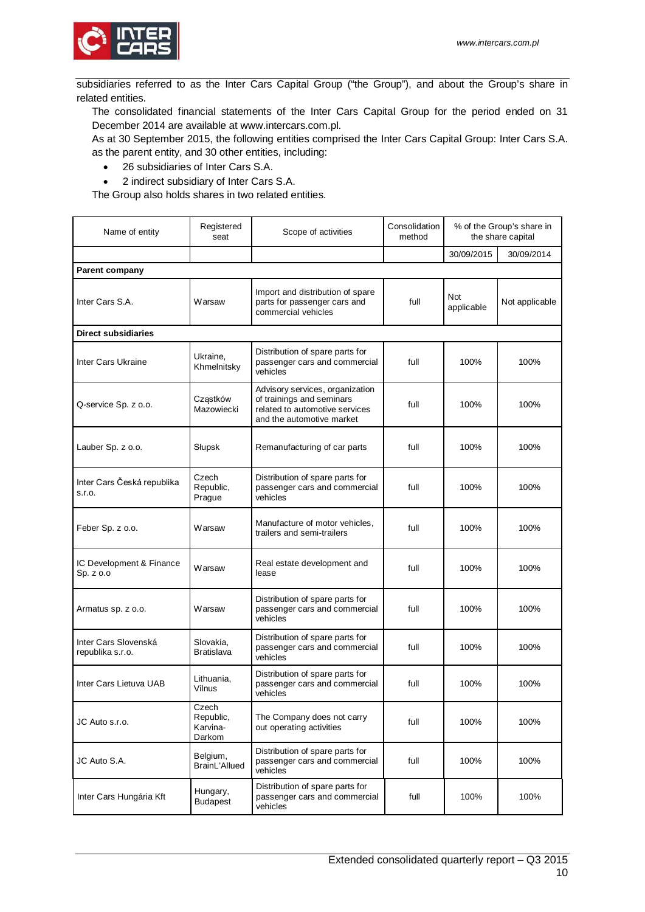

subsidiaries referred to as the Inter Cars Capital Group ("the Group"), and about the Group's share in related entities.

The consolidated financial statements of the Inter Cars Capital Group for the period ended on 31 December 2014 are available at www.intercars.com.pl.

As at 30 September 2015, the following entities comprised the Inter Cars Capital Group: Inter Cars S.A. as the parent entity, and 30 other entities, including:

- 26 subsidiaries of Inter Cars S.A.
- 2 indirect subsidiary of Inter Cars S.A.

The Group also holds shares in two related entities.

| Name of entity                           | Registered<br>seat                       | Scope of activities                                                                                                         | Consolidation<br>method | % of the Group's share in<br>the share capital |                |
|------------------------------------------|------------------------------------------|-----------------------------------------------------------------------------------------------------------------------------|-------------------------|------------------------------------------------|----------------|
|                                          |                                          |                                                                                                                             |                         | 30/09/2015                                     | 30/09/2014     |
| <b>Parent company</b>                    |                                          |                                                                                                                             |                         |                                                |                |
| Inter Cars S.A.                          | Warsaw                                   | Import and distribution of spare<br>parts for passenger cars and<br>commercial vehicles                                     | full                    | Not<br>applicable                              | Not applicable |
| <b>Direct subsidiaries</b>               |                                          |                                                                                                                             |                         |                                                |                |
| Inter Cars Ukraine                       | Ukraine.<br>Khmelnitsky                  | Distribution of spare parts for<br>passenger cars and commercial<br>vehicles                                                | full                    | 100%                                           | 100%           |
| Q-service Sp. z o.o.                     | Cząstków<br>Mazowiecki                   | Advisory services, organization<br>of trainings and seminars<br>related to automotive services<br>and the automotive market | full                    | 100%                                           | 100%           |
| Lauber Sp. z o.o.                        | Słupsk                                   | Remanufacturing of car parts                                                                                                | full                    | 100%                                           | 100%           |
| Inter Cars Česká republika<br>S.I.O.     | Czech<br>Republic,<br>Prague             | Distribution of spare parts for<br>passenger cars and commercial<br>vehicles                                                | full                    | 100%                                           | 100%           |
| Feber Sp. z o.o.                         | Warsaw                                   | Manufacture of motor vehicles.<br>trailers and semi-trailers                                                                | full                    | 100%                                           | 100%           |
| IC Development & Finance<br>Sp. z o.o    | Warsaw                                   | Real estate development and<br>lease                                                                                        | full                    | 100%                                           | 100%           |
| Armatus sp. z o.o.                       | Warsaw                                   | Distribution of spare parts for<br>passenger cars and commercial<br>vehicles                                                | full                    | 100%                                           | 100%           |
| Inter Cars Slovenská<br>republika s.r.o. | Slovakia,<br>Bratislava                  | Distribution of spare parts for<br>passenger cars and commercial<br>vehicles                                                | full                    | 100%                                           | 100%           |
| Inter Cars Lietuva UAB                   | Lithuania,<br>Vilnus                     | Distribution of spare parts for<br>passenger cars and commercial<br>vehicles                                                | full                    | 100%                                           | 100%           |
| JC Auto s.r.o.                           | Czech<br>Republic,<br>Karvina-<br>Darkom | The Company does not carry<br>out operating activities                                                                      | full                    | 100%                                           | 100%           |
| JC Auto S.A.                             | Belgium,<br>BrainL'Allued                | Distribution of spare parts for<br>passenger cars and commercial<br>vehicles                                                | full                    | 100%                                           | 100%           |
| Inter Cars Hungária Kft                  | Hungary,<br><b>Budapest</b>              | Distribution of spare parts for<br>passenger cars and commercial<br>vehicles                                                | full                    | 100%                                           | 100%           |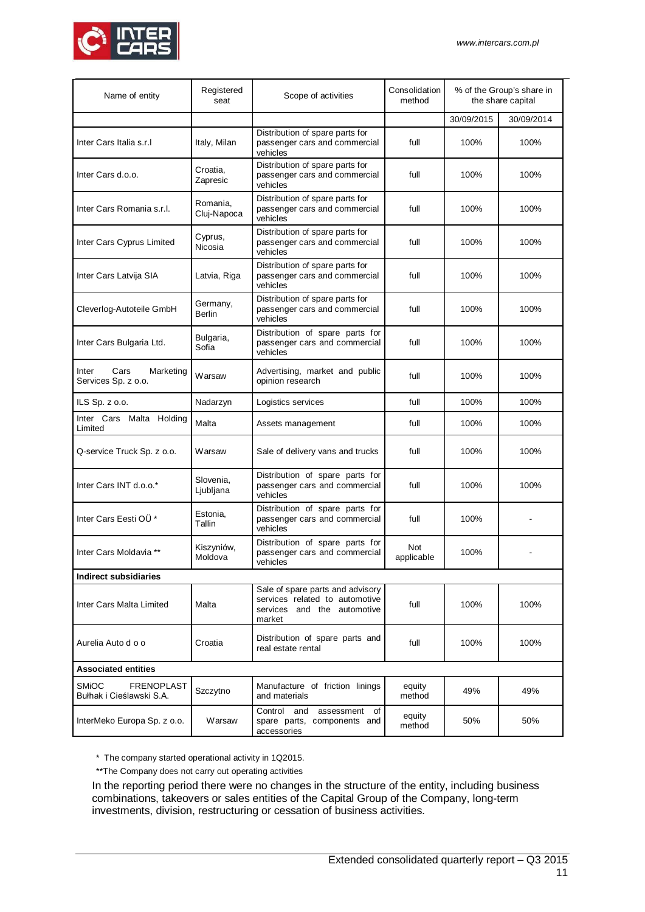

| Name of entity                                                | Registered<br>seat        | Scope of activities                                                                                         | Consolidation<br>method | % of the Group's share in<br>the share capital |            |
|---------------------------------------------------------------|---------------------------|-------------------------------------------------------------------------------------------------------------|-------------------------|------------------------------------------------|------------|
|                                                               |                           |                                                                                                             |                         | 30/09/2015                                     | 30/09/2014 |
| Inter Cars Italia s.r.l                                       | Italy, Milan              | Distribution of spare parts for<br>passenger cars and commercial<br>vehicles                                | full                    | 100%                                           | 100%       |
| Inter Cars d.o.o.                                             | Croatia,<br>Zapresic      | Distribution of spare parts for<br>passenger cars and commercial<br>vehicles                                | full                    | 100%                                           | 100%       |
| Inter Cars Romania s.r.l.                                     | Romania,<br>Cluj-Napoca   | Distribution of spare parts for<br>passenger cars and commercial<br>vehicles                                | full                    | 100%                                           | 100%       |
| Inter Cars Cyprus Limited                                     | Cyprus,<br>Nicosia        | Distribution of spare parts for<br>passenger cars and commercial<br>vehicles                                | full                    | 100%                                           | 100%       |
| Inter Cars Latvija SIA                                        | Latvia, Riga              | Distribution of spare parts for<br>passenger cars and commercial<br>vehicles                                | full                    | 100%                                           | 100%       |
| Cleverlog-Autoteile GmbH                                      | Germany,<br><b>Berlin</b> | Distribution of spare parts for<br>passenger cars and commercial<br>vehicles                                | full                    | 100%                                           | 100%       |
| Inter Cars Bulgaria Ltd.                                      | Bulgaria,<br>Sofia        | Distribution of spare parts for<br>passenger cars and commercial<br>vehicles                                | full                    | 100%                                           | 100%       |
| Cars<br>Marketing<br>Inter<br>Services Sp. z o.o.             | Warsaw                    | Advertising, market and public<br>opinion research                                                          | full                    | 100%                                           | 100%       |
| ILS Sp. z o.o.                                                | Nadarzyn                  | Logistics services                                                                                          | full                    | 100%                                           | 100%       |
| Inter Cars<br>Malta<br>Holding<br>Limited                     | Malta                     | Assets management                                                                                           | full                    | 100%                                           | 100%       |
| Q-service Truck Sp. z o.o.                                    | Warsaw                    | Sale of delivery vans and trucks                                                                            | full                    | 100%                                           | 100%       |
| Inter Cars INT d.o.o.*                                        | Slovenia,<br>Ljubljana    | Distribution of spare parts for<br>passenger cars and commercial<br>vehicles                                | full                    | 100%                                           | 100%       |
| Inter Cars Eesti OU*                                          | Estonia,<br>Tallin        | Distribution of spare parts for<br>passenger cars and commercial<br>vehicles                                | full                    | 100%                                           |            |
| Inter Cars Moldavia **                                        | Kiszyniów,<br>Moldova     | Distribution of spare parts for<br>passenger cars and commercial<br>vehicles                                | Not<br>applicable       | 100%                                           |            |
| <b>Indirect subsidiaries</b>                                  |                           |                                                                                                             |                         |                                                |            |
| Inter Cars Malta Limited                                      | Malta                     | Sale of spare parts and advisory<br>services related to automotive<br>services and the automotive<br>market | full                    | 100%                                           | 100%       |
| Aurelia Auto d o o                                            | Croatia                   | Distribution of spare parts and<br>real estate rental                                                       | full                    | 100%                                           | 100%       |
| <b>Associated entities</b>                                    |                           |                                                                                                             |                         |                                                |            |
| <b>SMIOC</b><br><b>FRENOPLAST</b><br>Bułhak i Cieślawski S.A. | Szczytno                  | Manufacture of friction linings<br>and materials                                                            | equity<br>method        | 49%                                            | 49%        |
| InterMeko Europa Sp. z o.o.                                   | Warsaw                    | Control and<br>assessment<br>of<br>spare parts, components and<br>accessories                               | equity<br>method        | 50%                                            | 50%        |

\* The company started operational activity in 1Q2015.

\*\*The Company does not carry out operating activities

In the reporting period there were no changes in the structure of the entity, including business combinations, takeovers or sales entities of the Capital Group of the Company, long-term investments, division, restructuring or cessation of business activities.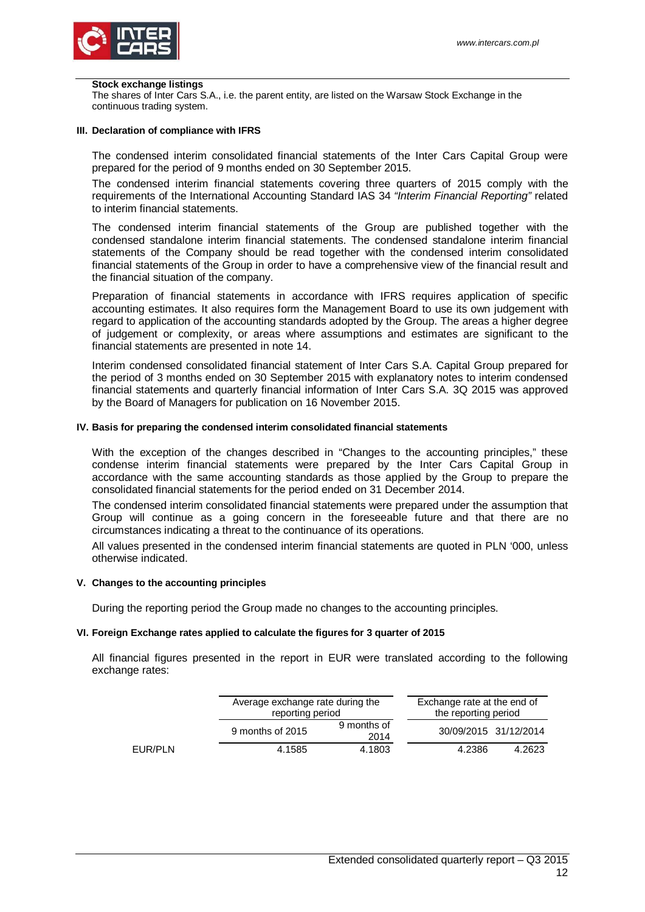

### **Stock exchange listings**

The shares of Inter Cars S.A., i.e. the parent entity, are listed on the Warsaw Stock Exchange in the continuous trading system.

#### <span id="page-11-0"></span>**III. Declaration of compliance with IFRS**

The condensed interim consolidated financial statements of the Inter Cars Capital Group were prepared for the period of 9 months ended on 30 September 2015.

The condensed interim financial statements covering three quarters of 2015 comply with the requirements of the International Accounting Standard IAS 34 *"Interim Financial Reporting"* related to interim financial statements.

The condensed interim financial statements of the Group are published together with the condensed standalone interim financial statements. The condensed standalone interim financial statements of the Company should be read together with the condensed interim consolidated financial statements of the Group in order to have a comprehensive view of the financial result and the financial situation of the company.

Preparation of financial statements in accordance with IFRS requires application of specific accounting estimates. It also requires form the Management Board to use its own judgement with regard to application of the accounting standards adopted by the Group. The areas a higher degree of judgement or complexity, or areas where assumptions and estimates are significant to the financial statements are presented in note 14.

Interim condensed consolidated financial statement of Inter Cars S.A. Capital Group prepared for the period of 3 months ended on 30 September 2015 with explanatory notes to interim condensed financial statements and quarterly financial information of Inter Cars S.A. 3Q 2015 was approved by the Board of Managers for publication on 16 November 2015.

### <span id="page-11-1"></span>**IV. Basis for preparing the condensed interim consolidated financial statements**

With the exception of the changes described in "Changes to the accounting principles," these condense interim financial statements were prepared by the Inter Cars Capital Group in accordance with the same accounting standards as those applied by the Group to prepare the consolidated financial statements for the period ended on 31 December 2014.

The condensed interim consolidated financial statements were prepared under the assumption that Group will continue as a going concern in the foreseeable future and that there are no circumstances indicating a threat to the continuance of its operations.

All values presented in the condensed interim financial statements are quoted in PLN '000, unless otherwise indicated.

#### <span id="page-11-2"></span>**V. Changes to the accounting principles**

During the reporting period the Group made no changes to the accounting principles.

### <span id="page-11-3"></span>**VI. Foreign Exchange rates applied to calculate the figures for 3 quarter of 2015**

All financial figures presented in the report in EUR were translated according to the following exchange rates:

|         | Average exchange rate during the<br>reporting period |                     | Exchange rate at the end of<br>the reporting period |        |
|---------|------------------------------------------------------|---------------------|-----------------------------------------------------|--------|
|         | 9 months of 2015                                     | 9 months of<br>2014 | 30/09/2015 31/12/2014                               |        |
| EUR/PLN | 4.1585                                               | 4.1803              | 4.2386                                              | 4.2623 |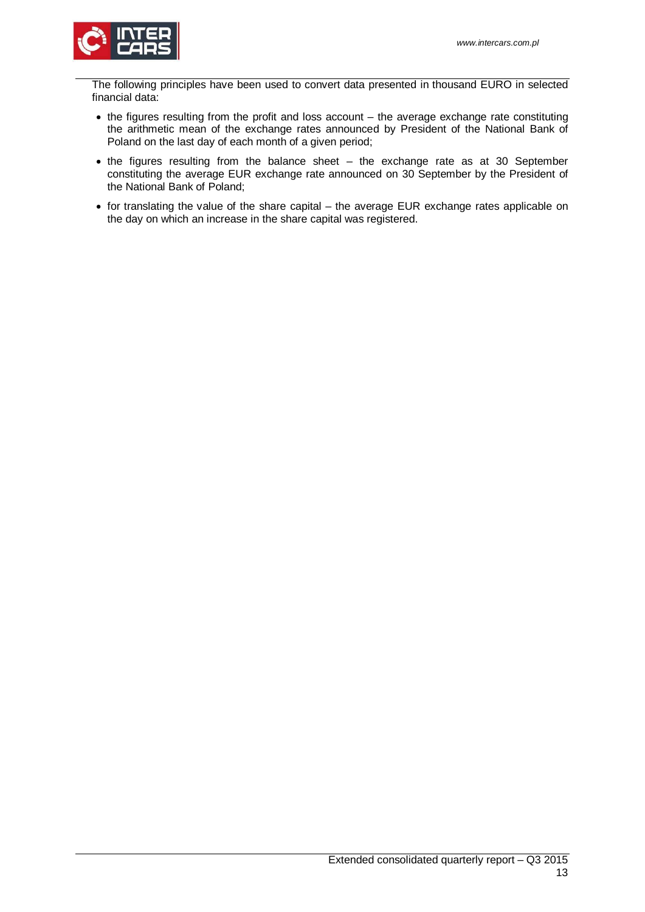

The following principles have been used to convert data presented in thousand EURO in selected financial data:

- the figures resulting from the profit and loss account the average exchange rate constituting the arithmetic mean of the exchange rates announced by President of the National Bank of Poland on the last day of each month of a given period;
- the figures resulting from the balance sheet the exchange rate as at 30 September constituting the average EUR exchange rate announced on 30 September by the President of the National Bank of Poland;
- for translating the value of the share capital the average EUR exchange rates applicable on the day on which an increase in the share capital was registered.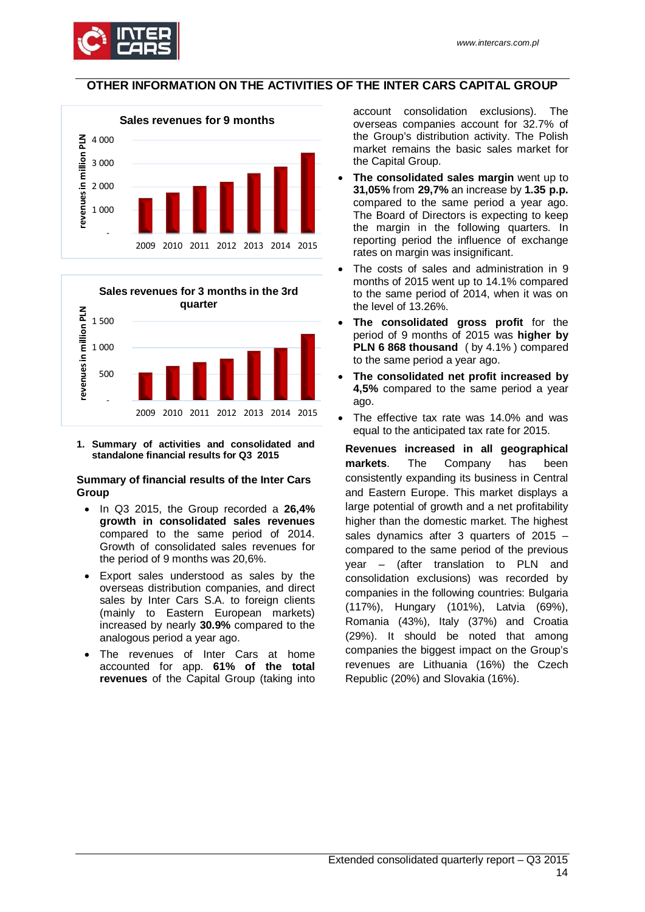

# <span id="page-13-0"></span>**OTHER INFORMATION ON THE ACTIVITIES OF THE INTER CARS CAPITAL GROUP**





<span id="page-13-1"></span>**1. Summary of activities and consolidated and standalone financial results for Q3 2015**

### **Summary of financial results of the Inter Cars Group**

- In Q3 2015, the Group recorded a **26,4% growth in consolidated sales revenues**  compared to the same period of 2014. Growth of consolidated sales revenues for the period of 9 months was 20,6%.
- Export sales understood as sales by the overseas distribution companies, and direct sales by Inter Cars S.A. to foreign clients (mainly to Eastern European markets) increased by nearly **30.9%** compared to the analogous period a year ago.
- The revenues of Inter Cars at home accounted for app. **61% of the total revenues** of the Capital Group (taking into

account consolidation exclusions). The overseas companies account for 32.7% of the Group's distribution activity. The Polish market remains the basic sales market for the Capital Group.

- **The consolidated sales margin** went up to **31,05%** from **29,7%** an increase by **1.35 p.p.** compared to the same period a year ago. The Board of Directors is expecting to keep the margin in the following quarters. In reporting period the influence of exchange rates on margin was insignificant.
- The costs of sales and administration in 9 months of 2015 went up to 14.1% compared to the same period of 2014, when it was on the level of 13.26%.
- **The consolidated gross profit** for the period of 9 months of 2015 was **higher by PLN 6 868 thousand** ( by 4.1% ) compared to the same period a year ago.
- **The consolidated net profit increased by 4,5%** compared to the same period a year ago.
- The effective tax rate was 14.0% and was equal to the anticipated tax rate for 2015.

**Revenues increased in all geographical markets**. The Company has been consistently expanding its business in Central and Eastern Europe. This market displays a large potential of growth and a net profitability higher than the domestic market. The highest sales dynamics after 3 quarters of 2015 – compared to the same period of the previous year – (after translation to PLN and consolidation exclusions) was recorded by companies in the following countries: Bulgaria (117%), Hungary (101%), Latvia (69%), Romania (43%), Italy (37%) and Croatia (29%). It should be noted that among companies the biggest impact on the Group's revenues are Lithuania (16%) the Czech Republic (20%) and Slovakia (16%).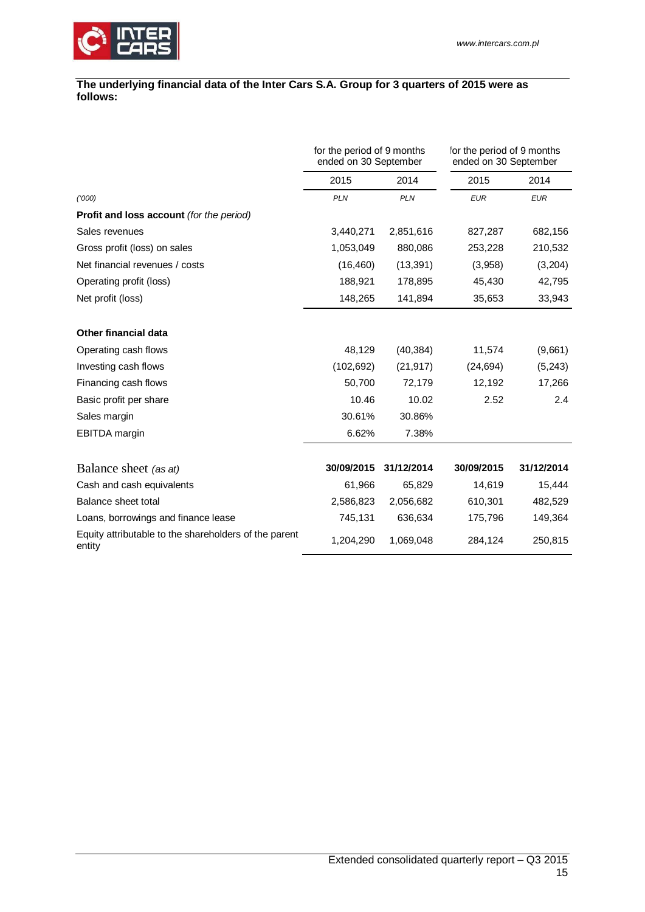

### **The underlying financial data of the Inter Cars S.A. Group for 3 quarters of 2015 were as follows:**

|                                                                 | for the period of 9 months<br>ended on 30 September |            | for the period of 9 months<br>ended on 30 September |            |
|-----------------------------------------------------------------|-----------------------------------------------------|------------|-----------------------------------------------------|------------|
|                                                                 | 2015                                                | 2014       | 2015                                                | 2014       |
| (1000)                                                          | <b>PLN</b>                                          | <b>PLN</b> | <b>EUR</b>                                          | <b>EUR</b> |
| <b>Profit and loss account (for the period)</b>                 |                                                     |            |                                                     |            |
| Sales revenues                                                  | 3,440,271                                           | 2,851,616  | 827,287                                             | 682,156    |
| Gross profit (loss) on sales                                    | 1,053,049                                           | 880,086    | 253,228                                             | 210,532    |
| Net financial revenues / costs                                  | (16, 460)                                           | (13, 391)  | (3,958)                                             | (3,204)    |
| Operating profit (loss)                                         | 188,921                                             | 178,895    | 45,430                                              | 42,795     |
| Net profit (loss)                                               | 148,265                                             | 141,894    | 35,653                                              | 33,943     |
| <b>Other financial data</b>                                     |                                                     |            |                                                     |            |
| Operating cash flows                                            | 48,129                                              | (40, 384)  | 11,574                                              | (9,661)    |
| Investing cash flows                                            | (102, 692)                                          | (21, 917)  | (24, 694)                                           | (5,243)    |
| Financing cash flows                                            | 50,700                                              | 72,179     | 12,192                                              | 17,266     |
| Basic profit per share                                          | 10.46                                               | 10.02      | 2.52                                                | 2.4        |
| Sales margin                                                    | 30.61%                                              | 30.86%     |                                                     |            |
| <b>EBITDA</b> margin                                            | 6.62%                                               | 7.38%      |                                                     |            |
| Balance sheet (as at)                                           | 30/09/2015                                          | 31/12/2014 | 30/09/2015                                          | 31/12/2014 |
| Cash and cash equivalents                                       | 61,966                                              | 65,829     | 14,619                                              | 15,444     |
| Balance sheet total                                             | 2,586,823                                           | 2,056,682  | 610,301                                             | 482,529    |
| Loans, borrowings and finance lease                             | 745,131                                             | 636,634    | 175,796                                             | 149,364    |
| Equity attributable to the shareholders of the parent<br>entity | 1,204,290                                           | 1,069,048  | 284,124                                             | 250,815    |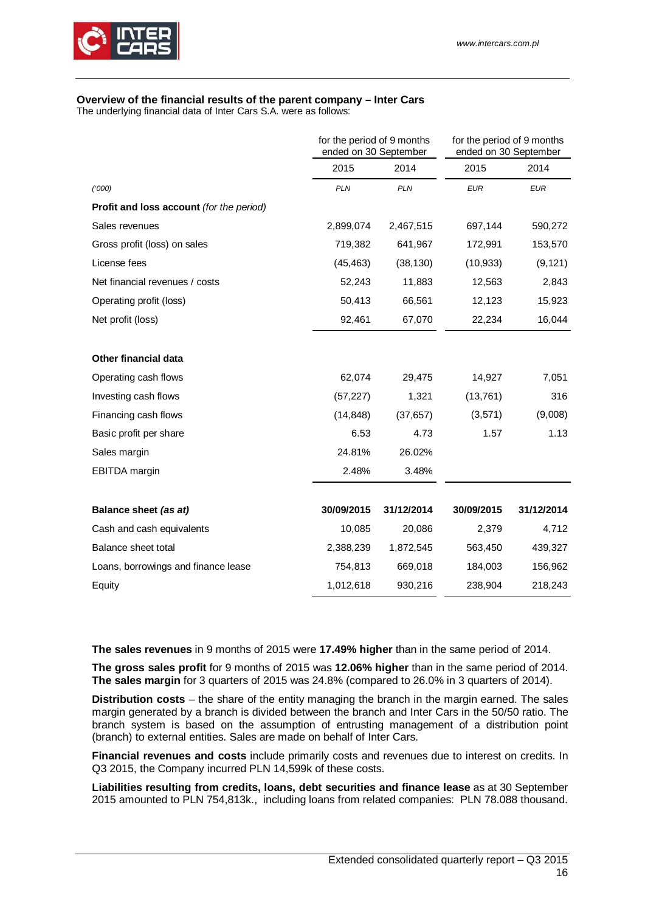

# **Overview of the financial results of the parent company – Inter Cars**

The underlying financial data of Inter Cars S.A. were as follows:

|                                                 | for the period of 9 months<br>ended on 30 September |            | for the period of 9 months<br>ended on 30 September |            |
|-------------------------------------------------|-----------------------------------------------------|------------|-----------------------------------------------------|------------|
|                                                 | 2015                                                | 2014       | 2015                                                | 2014       |
| (1000)                                          | <b>PLN</b>                                          | <b>PLN</b> | <b>EUR</b>                                          | <b>EUR</b> |
| <b>Profit and loss account (for the period)</b> |                                                     |            |                                                     |            |
| Sales revenues                                  | 2,899,074                                           | 2,467,515  | 697,144                                             | 590,272    |
| Gross profit (loss) on sales                    | 719,382                                             | 641,967    | 172,991                                             | 153,570    |
| License fees                                    | (45, 463)                                           | (38, 130)  | (10, 933)                                           | (9, 121)   |
| Net financial revenues / costs                  | 52,243                                              | 11,883     | 12,563                                              | 2,843      |
| Operating profit (loss)                         | 50,413                                              | 66,561     | 12,123                                              | 15,923     |
| Net profit (loss)                               | 92,461                                              | 67,070     | 22,234                                              | 16,044     |
| Other financial data                            |                                                     |            |                                                     |            |
| Operating cash flows                            | 62,074                                              | 29,475     | 14,927                                              | 7,051      |
| Investing cash flows                            | (57, 227)                                           | 1,321      | (13, 761)                                           | 316        |
| Financing cash flows                            | (14, 848)                                           | (37, 657)  | (3,571)                                             | (9,008)    |
| Basic profit per share                          | 6.53                                                | 4.73       | 1.57                                                | 1.13       |
| Sales margin                                    | 24.81%                                              | 26.02%     |                                                     |            |
| <b>EBITDA</b> margin                            | 2.48%                                               | 3.48%      |                                                     |            |
| Balance sheet (as at)                           | 30/09/2015                                          | 31/12/2014 | 30/09/2015                                          | 31/12/2014 |
| Cash and cash equivalents                       | 10,085                                              | 20,086     | 2,379                                               | 4,712      |
| Balance sheet total                             | 2,388,239                                           | 1,872,545  | 563,450                                             | 439,327    |
| Loans, borrowings and finance lease             | 754,813                                             | 669,018    | 184,003                                             | 156,962    |
| Equity                                          | 1,012,618                                           | 930,216    | 238,904                                             | 218,243    |

**The sales revenues** in 9 months of 2015 were **17.49% higher** than in the same period of 2014.

**The gross sales profit** for 9 months of 2015 was **12.06% higher** than in the same period of 2014. **The sales margin** for 3 quarters of 2015 was 24.8% (compared to 26.0% in 3 quarters of 2014).

**Distribution costs** – the share of the entity managing the branch in the margin earned. The sales margin generated by a branch is divided between the branch and Inter Cars in the 50/50 ratio. The branch system is based on the assumption of entrusting management of a distribution point (branch) to external entities. Sales are made on behalf of Inter Cars.

**Financial revenues and costs** include primarily costs and revenues due to interest on credits. In Q3 2015, the Company incurred PLN 14,599k of these costs.

**Liabilities resulting from credits, loans, debt securities and finance lease** as at 30 September 2015 amounted to PLN 754,813k., including loans from related companies: PLN 78.088 thousand.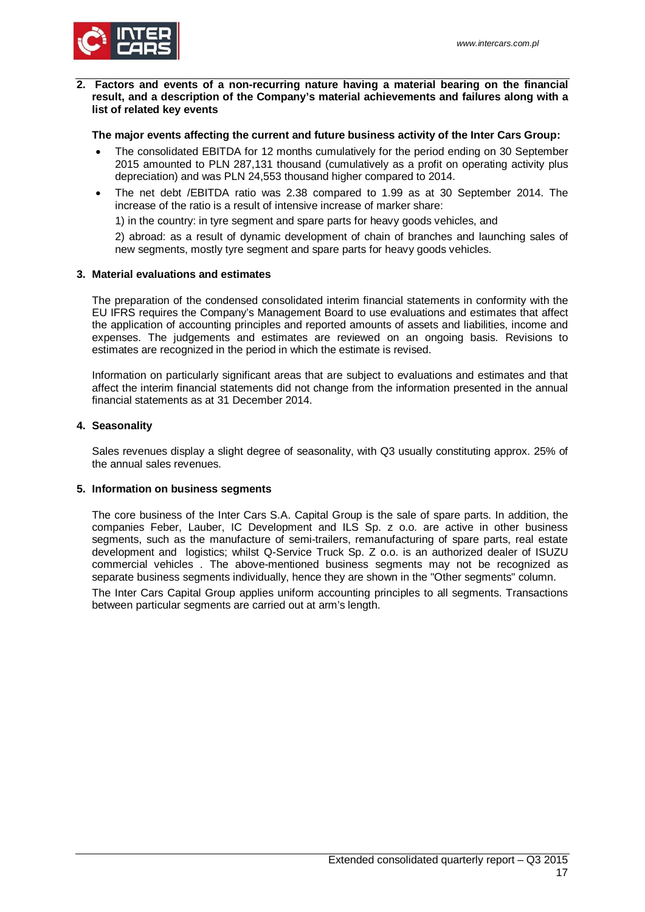

### <span id="page-16-0"></span>**2. Factors and events of a non-recurring nature having a material bearing on the financial result, and a description of the Company's material achievements and failures along with a list of related key events**

# **The major events affecting the current and future business activity of the Inter Cars Group:**

- The consolidated EBITDA for 12 months cumulatively for the period ending on 30 September 2015 amounted to PLN 287,131 thousand (cumulatively as a profit on operating activity plus depreciation) and was PLN 24,553 thousand higher compared to 2014.
- The net debt /EBITDA ratio was 2.38 compared to 1.99 as at 30 September 2014. The increase of the ratio is a result of intensive increase of marker share:

1) in the country: in tyre segment and spare parts for heavy goods vehicles, and

2) abroad: as a result of dynamic development of chain of branches and launching sales of new segments, mostly tyre segment and spare parts for heavy goods vehicles.

# <span id="page-16-1"></span>**3. Material evaluations and estimates**

The preparation of the condensed consolidated interim financial statements in conformity with the EU IFRS requires the Company's Management Board to use evaluations and estimates that affect the application of accounting principles and reported amounts of assets and liabilities, income and expenses. The judgements and estimates are reviewed on an ongoing basis. Revisions to estimates are recognized in the period in which the estimate is revised.

Information on particularly significant areas that are subject to evaluations and estimates and that affect the interim financial statements did not change from the information presented in the annual financial statements as at 31 December 2014.

# <span id="page-16-2"></span>**4. Seasonality**

Sales revenues display a slight degree of seasonality, with Q3 usually constituting approx. 25% of the annual sales revenues.

# <span id="page-16-3"></span>**5. Information on business segments**

The core business of the Inter Cars S.A. Capital Group is the sale of spare parts. In addition, the companies Feber, Lauber, IC Development and ILS Sp. z o.o. are active in other business segments, such as the manufacture of semi-trailers, remanufacturing of spare parts, real estate development and logistics; whilst Q-Service Truck Sp. Z o.o. is an authorized dealer of ISUZU commercial vehicles . The above-mentioned business segments may not be recognized as separate business segments individually, hence they are shown in the "Other segments" column.

The Inter Cars Capital Group applies uniform accounting principles to all segments. Transactions between particular segments are carried out at arm's length.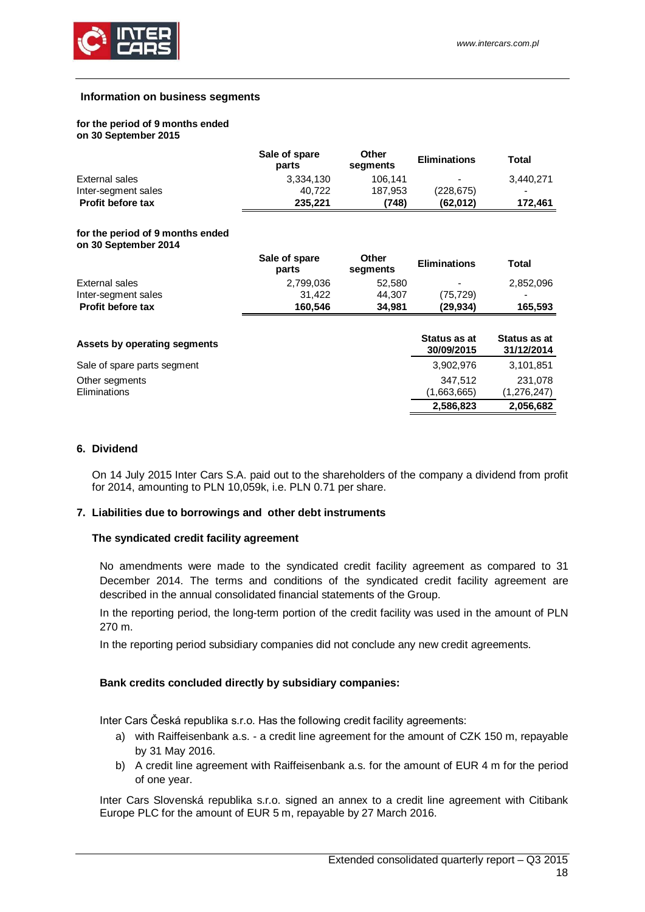

### **Information on business segments**

#### **for the period of 9 months ended on 30 September 2015**

|                          | Sale of spare<br>parts | <b>Other</b><br>segments | <b>Eliminations</b>      | Total     |
|--------------------------|------------------------|--------------------------|--------------------------|-----------|
| External sales           | 3.334.130              | 106.141                  | $\overline{\phantom{a}}$ | 3.440.271 |
| Inter-segment sales      | 40.722                 | 187.953                  | (228, 675)               |           |
| <b>Profit before tax</b> | 235.221                | (748)                    | (62.012)                 | 172.461   |

#### **for the period of 9 months ended on 30 September 2014**

|                              | Sale of spare<br>parts | Other<br>segments | <b>Eliminations</b>        | <b>Total</b>               |
|------------------------------|------------------------|-------------------|----------------------------|----------------------------|
| External sales               | 2,799,036              | 52,580            | -                          | 2,852,096                  |
| Inter-segment sales          | 31.422                 | 44,307            | (75,729)                   |                            |
| <b>Profit before tax</b>     | 160,546                | 34,981            | (29,934)                   | 165,593                    |
| Assets by operating segments |                        |                   | Status as at<br>30/09/2015 | Status as at<br>31/12/2014 |
| Sale of spare parts segment  |                        |                   | 3,902,976                  | 3,101,851                  |
| Other segments               |                        |                   | 347,512                    | 231,078                    |
| Eliminations                 |                        |                   | (1,663,665)                | (1,276,247)                |
|                              |                        |                   | 2,586,823                  | 2,056,682                  |

# <span id="page-17-0"></span>**6. Dividend**

On 14 July 2015 Inter Cars S.A. paid out to the shareholders of the company a dividend from profit for 2014, amounting to PLN 10,059k, i.e. PLN 0.71 per share.

### <span id="page-17-1"></span>**7. Liabilities due to borrowings and other debt instruments**

### **The syndicated credit facility agreement**

No amendments were made to the syndicated credit facility agreement as compared to 31 December 2014. The terms and conditions of the syndicated credit facility agreement are described in the annual consolidated financial statements of the Group.

In the reporting period, the long-term portion of the credit facility was used in the amount of PLN 270 m.

In the reporting period subsidiary companies did not conclude any new credit agreements.

# **Bank credits concluded directly by subsidiary companies:**

Inter Cars Česká republika s.r.o. Has the following credit facility agreements:

- a) with Raiffeisenbank a.s. a credit line agreement for the amount of CZK 150 m, repayable by 31 May 2016.
- b) A credit line agreement with Raiffeisenbank a.s. for the amount of EUR 4 m for the period of one year.

Inter Cars Slovenská republika s.r.o. signed an annex to a credit line agreement with Citibank Europe PLC for the amount of EUR 5 m, repayable by 27 March 2016.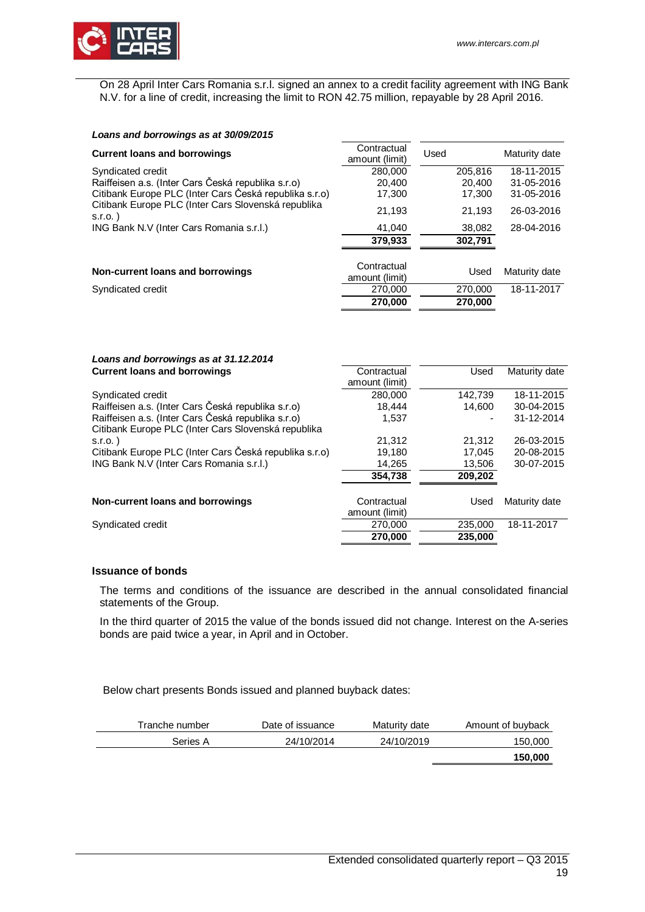

On 28 April Inter Cars Romania s.r.l. signed an annex to a credit facility agreement with ING Bank N.V. for a line of credit, increasing the limit to RON 42.75 million, repayable by 28 April 2016.

| Contractual<br>amount (limit) | Used    | Maturity date |
|-------------------------------|---------|---------------|
| 280,000                       | 205.816 | 18-11-2015    |
| 20,400                        | 20,400  | 31-05-2016    |
| 17,300                        | 17,300  | 31-05-2016    |
| 21.193                        | 21,193  | 26-03-2016    |
| 41,040                        | 38,082  | 28-04-2016    |
| 379.933                       | 302,791 |               |
| Contractual<br>amount (limit) | Used    | Maturity date |
| 270,000                       | 270,000 | 18-11-2017    |
| 270,000                       | 270,000 |               |
|                               |         |               |

| Loans and borrowings as at 31.12.2014                  |                |         |               |
|--------------------------------------------------------|----------------|---------|---------------|
| <b>Current loans and borrowings</b>                    | Contractual    | Used    | Maturity date |
|                                                        | amount (limit) |         |               |
| Syndicated credit                                      | 280,000        | 142.739 | 18-11-2015    |
| Raiffeisen a.s. (Inter Cars Česká republika s.r.o)     | 18,444         | 14.600  | 30-04-2015    |
| Raiffeisen a.s. (Inter Cars Česká republika s.r.o)     | 1,537          |         | 31-12-2014    |
| Citibank Europe PLC (Inter Cars Slovenská republika    |                |         |               |
| $S.I.O.$ )                                             | 21,312         | 21.312  | 26-03-2015    |
| Citibank Europe PLC (Inter Cars Česká republika s.r.o) | 19,180         | 17.045  | 20-08-2015    |
| ING Bank N.V (Inter Cars Romania s.r.l.)               | 14,265         | 13,506  | 30-07-2015    |
|                                                        | 354,738        | 209,202 |               |
|                                                        |                |         |               |
| Non-current loans and borrowings                       | Contractual    | Used    | Maturity date |
|                                                        | amount (limit) |         |               |
| Syndicated credit                                      | 270,000        | 235,000 | 18-11-2017    |
|                                                        | 270,000        | 235.000 |               |

# **Issuance of bonds**

The terms and conditions of the issuance are described in the annual consolidated financial statements of the Group.

In the third quarter of 2015 the value of the bonds issued did not change. Interest on the A-series bonds are paid twice a year, in April and in October.

Below chart presents Bonds issued and planned buyback dates:

| Tranche number | Date of issuance | Maturity date | Amount of buyback |
|----------------|------------------|---------------|-------------------|
| Series A       | 24/10/2014       | 24/10/2019    | 150,000           |
|                |                  |               | 150,000           |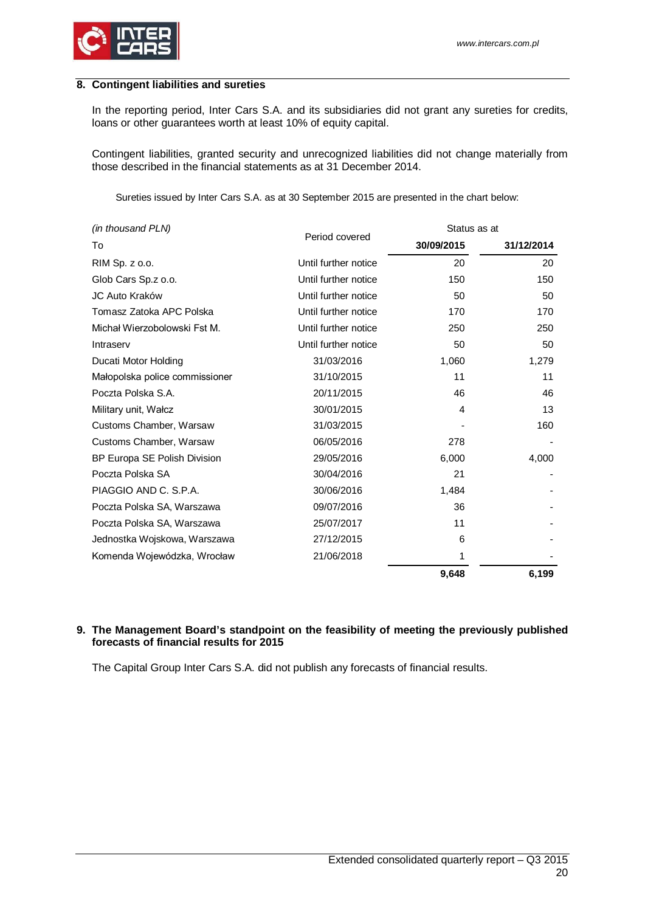

### <span id="page-19-0"></span>**8. Contingent liabilities and sureties**

In the reporting period, Inter Cars S.A. and its subsidiaries did not grant any sureties for credits, loans or other guarantees worth at least 10% of equity capital.

Contingent liabilities, granted security and unrecognized liabilities did not change materially from those described in the financial statements as at 31 December 2014.

Sureties issued by Inter Cars S.A. as at 30 September 2015 are presented in the chart below:

| (in thousand PLN)              |                      | Status as at |            |
|--------------------------------|----------------------|--------------|------------|
| To                             | Period covered       | 30/09/2015   | 31/12/2014 |
| RIM Sp. z o.o.                 | Until further notice | 20           | 20         |
| Glob Cars Sp.z o.o.            | Until further notice | 150          | 150        |
| JC Auto Kraków                 | Until further notice | 50           | 50         |
| Tomasz Zatoka APC Polska       | Until further notice | 170          | 170        |
| Michał Wierzobolowski Fst M.   | Until further notice | 250          | 250        |
| Intraserv                      | Until further notice | 50           | 50         |
| Ducati Motor Holding           | 31/03/2016           | 1,060        | 1,279      |
| Małopolska police commissioner | 31/10/2015           | 11           | 11         |
| Poczta Polska S.A.             | 20/11/2015           | 46           | 46         |
| Military unit, Wałcz           | 30/01/2015           | 4            | 13         |
| Customs Chamber, Warsaw        | 31/03/2015           |              | 160        |
| Customs Chamber, Warsaw        | 06/05/2016           | 278          |            |
| BP Europa SE Polish Division   | 29/05/2016           | 6,000        | 4,000      |
| Poczta Polska SA               | 30/04/2016           | 21           |            |
| PIAGGIO AND C. S.P.A.          | 30/06/2016           | 1,484        |            |
| Poczta Polska SA, Warszawa     | 09/07/2016           | 36           |            |
| Poczta Polska SA, Warszawa     | 25/07/2017           | 11           |            |
| Jednostka Wojskowa, Warszawa   | 27/12/2015           | 6            |            |
| Komenda Wojewódzka, Wrocław    | 21/06/2018           | 1            |            |
|                                |                      | 9,648        | 6,199      |

# <span id="page-19-1"></span>**9. The Management Board's standpoint on the feasibility of meeting the previously published forecasts of financial results for 2015**

The Capital Group Inter Cars S.A. did not publish any forecasts of financial results.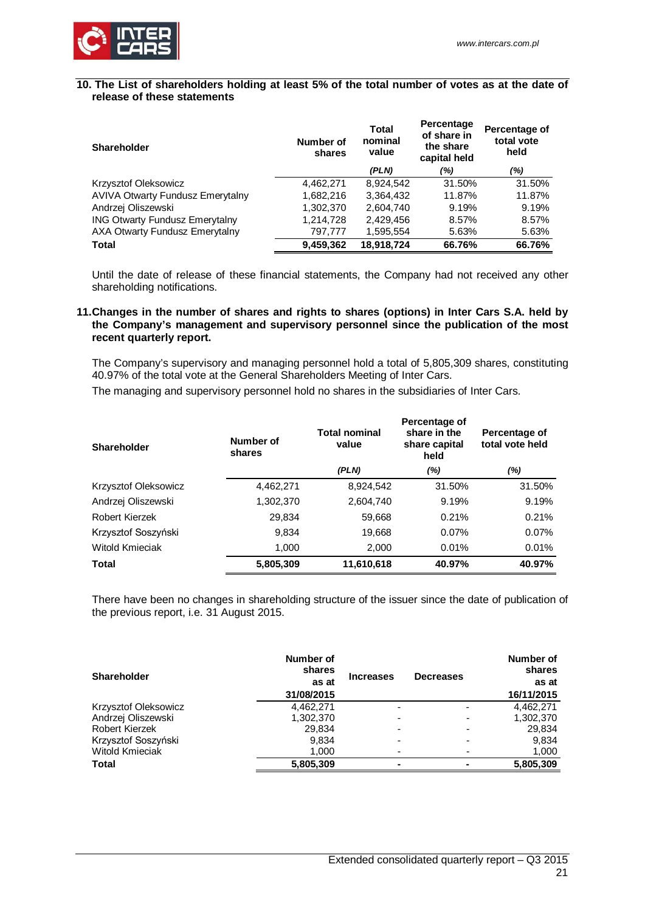

### <span id="page-20-0"></span>**10. The List of shareholders holding at least 5% of the total number of votes as at the date of release of these statements**

| <b>Shareholder</b>                      | Number of<br>shares | Total<br>nominal<br>value | Percentage<br>of share in<br>the share<br>capital held | Percentage of<br>total vote<br>held |
|-----------------------------------------|---------------------|---------------------------|--------------------------------------------------------|-------------------------------------|
|                                         |                     | (PLN)                     | (%)                                                    | (%)                                 |
| Krzysztof Oleksowicz                    | 4.462.271           | 8.924.542                 | 31.50%                                                 | 31.50%                              |
| <b>AVIVA Otwarty Fundusz Emerytalny</b> | 1,682,216           | 3,364,432                 | 11.87%                                                 | 11.87%                              |
| Andrzej Oliszewski                      | 1,302,370           | 2,604,740                 | 9.19%                                                  | 9.19%                               |
| <b>ING Otwarty Fundusz Emerytalny</b>   | 1,214,728           | 2.429.456                 | 8.57%                                                  | 8.57%                               |
| <b>AXA Otwarty Fundusz Emerytalny</b>   | 797,777             | 1,595,554                 | 5.63%                                                  | 5.63%                               |
| <b>Total</b>                            | 9,459,362           | 18,918,724                | 66.76%                                                 | 66.76%                              |

Until the date of release of these financial statements, the Company had not received any other shareholding notifications.

### <span id="page-20-1"></span>**11.Changes in the number of shares and rights to shares (options) in Inter Cars S.A. held by the Company's management and supervisory personnel since the publication of the most recent quarterly report.**

The Company's supervisory and managing personnel hold a total of 5,805,309 shares, constituting 40.97% of the total vote at the General Shareholders Meeting of Inter Cars.

The managing and supervisory personnel hold no shares in the subsidiaries of Inter Cars.

| Shareholder          | Number of<br>shares | <b>Total nominal</b><br>value | Percentage of<br>share in the<br>share capital<br>held | Percentage of<br>total vote held |
|----------------------|---------------------|-------------------------------|--------------------------------------------------------|----------------------------------|
|                      |                     | (PLN)                         | (%)                                                    | (%)                              |
| Krzysztof Oleksowicz | 4,462,271           | 8,924,542                     | 31.50%                                                 | 31.50%                           |
| Andrzej Oliszewski   | 1,302,370           | 2,604,740                     | 9.19%                                                  | 9.19%                            |
| Robert Kierzek       | 29,834              | 59,668                        | 0.21%                                                  | 0.21%                            |
| Krzysztof Soszyński  | 9,834               | 19,668                        | 0.07%                                                  | 0.07%                            |
| Witold Kmieciak      | 1,000               | 2,000                         | 0.01%                                                  | 0.01%                            |
| Total                | 5,805,309           | 11,610,618                    | 40.97%                                                 | 40.97%                           |

There have been no changes in shareholding structure of the issuer since the date of publication of the previous report, i.e. 31 August 2015.

| <b>Shareholder</b>     | Number of<br>shares<br>as at<br>31/08/2015 | <b>Increases</b> | <b>Decreases</b> | Number of<br>shares<br>as at<br>16/11/2015 |
|------------------------|--------------------------------------------|------------------|------------------|--------------------------------------------|
| Krzysztof Oleksowicz   | 4,462,271                                  | -                |                  | 4,462,271                                  |
| Andrzej Oliszewski     | 1,302,370                                  |                  |                  | 1,302,370                                  |
| Robert Kierzek         | 29,834                                     | -                |                  | 29,834                                     |
| Krzysztof Soszyński    | 9.834                                      |                  |                  | 9,834                                      |
| <b>Witold Kmieciak</b> | 1.000                                      |                  |                  | 1,000                                      |
| <b>Total</b>           | 5,805,309                                  |                  |                  | 5,805,309                                  |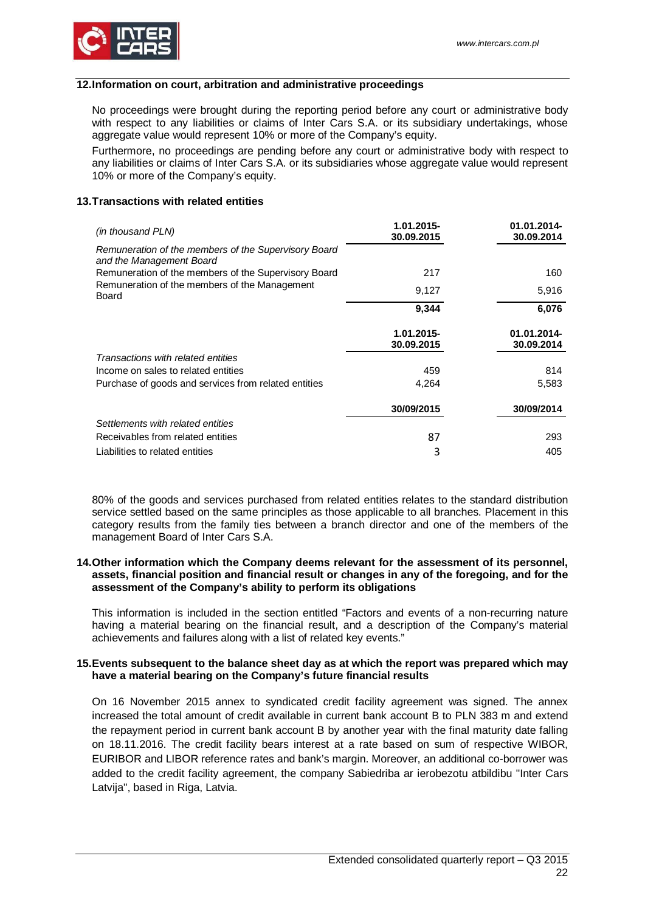

### <span id="page-21-0"></span>**12.Information on court, arbitration and administrative proceedings**

No proceedings were brought during the reporting period before any court or administrative body with respect to any liabilities or claims of Inter Cars S.A. or its subsidiary undertakings, whose aggregate value would represent 10% or more of the Company's equity.

Furthermore, no proceedings are pending before any court or administrative body with respect to any liabilities or claims of Inter Cars S.A. or its subsidiaries whose aggregate value would represent 10% or more of the Company's equity.

### <span id="page-21-1"></span>**13.Transactions with related entities**

| (in thousand PLN)                                                                | 1.01.2015-<br>30.09.2015 | 01.01.2014-<br>30.09.2014 |
|----------------------------------------------------------------------------------|--------------------------|---------------------------|
| Remuneration of the members of the Supervisory Board<br>and the Management Board |                          |                           |
| Remuneration of the members of the Supervisory Board                             | 217                      | 160                       |
| Remuneration of the members of the Management<br><b>Board</b>                    | 9,127                    | 5,916                     |
|                                                                                  | 9,344                    | 6,076                     |
|                                                                                  | 1.01.2015-<br>30.09.2015 | 01.01.2014-<br>30.09.2014 |
| Transactions with related entities                                               |                          |                           |
| Income on sales to related entities                                              | 459                      | 814                       |
| Purchase of goods and services from related entities                             | 4,264                    | 5,583                     |
|                                                                                  | 30/09/2015               | 30/09/2014                |
| Settlements with related entities                                                |                          |                           |
| Receivables from related entities                                                | 87                       | 293                       |
| Liabilities to related entities                                                  | 3                        | 405                       |

80% of the goods and services purchased from related entities relates to the standard distribution service settled based on the same principles as those applicable to all branches. Placement in this category results from the family ties between a branch director and one of the members of the management Board of Inter Cars S.A.

### <span id="page-21-2"></span>**14.Other information which the Company deems relevant for the assessment of its personnel, assets, financial position and financial result or changes in any of the foregoing, and for the assessment of the Company's ability to perform its obligations**

This information is included in the section entitled "Factors and events of a non-recurring nature having a material bearing on the financial result, and a description of the Company's material achievements and failures along with a list of related key events."

### <span id="page-21-3"></span>**15.Events subsequent to the balance sheet day as at which the report was prepared which may have a material bearing on the Company's future financial results**

On 16 November 2015 annex to syndicated credit facility agreement was signed. The annex increased the total amount of credit available in current bank account B to PLN 383 m and extend the repayment period in current bank account B by another year with the final maturity date falling on 18.11.2016. The credit facility bears interest at a rate based on sum of respective WIBOR, EURIBOR and LIBOR reference rates and bank's margin. Moreover, an additional co-borrower was added to the credit facility agreement, the company Sabiedriba ar ierobezotu atbildibu "Inter Cars Latvija", based in Riga, Latvia.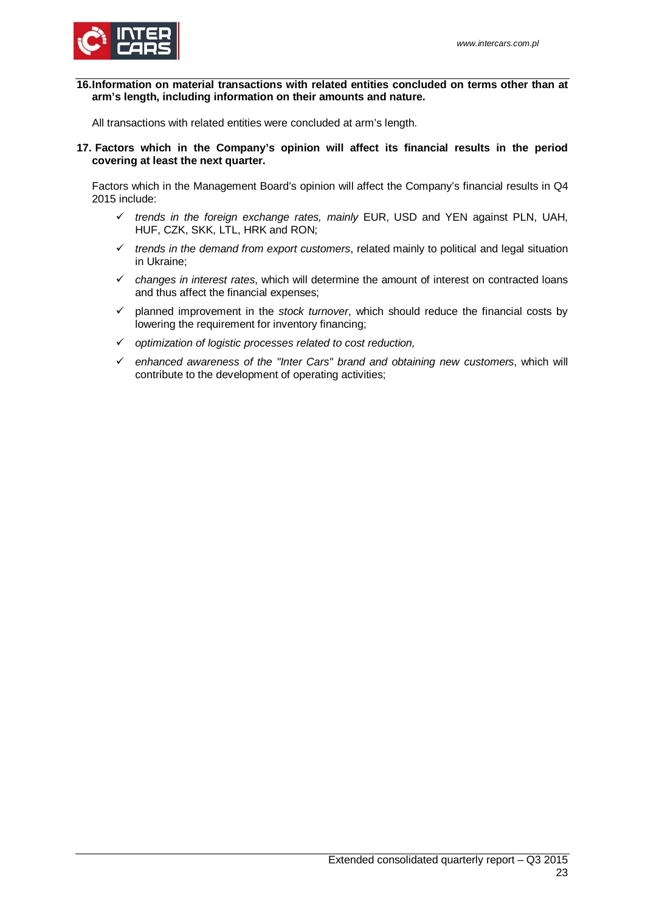

<span id="page-22-0"></span>**16.Information on material transactions with related entities concluded on terms other than at arm's length, including information on their amounts and nature.**

<span id="page-22-1"></span>All transactions with related entities were concluded at arm's length.

**17. Factors which in the Company's opinion will affect its financial results in the period covering at least the next quarter.**

Factors which in the Management Board's opinion will affect the Company's financial results in Q4 2015 include:

- *trends in the foreign exchange rates, mainly* EUR, USD and YEN against PLN, UAH, HUF, CZK, SKK, LTL, HRK and RON;
- $\checkmark$  trends in the demand from export customers, related mainly to political and legal situation in Ukraine;
- *changes in interest rates*, which will determine the amount of interest on contracted loans and thus affect the financial expenses;
- $\checkmark$  planned improvement in the *stock turnover*, which should reduce the financial costs by lowering the requirement for inventory financing;
- *optimization of logistic processes related to cost reduction,*
- *enhanced awareness of the "Inter Cars" brand and obtaining new customers*, which will contribute to the development of operating activities;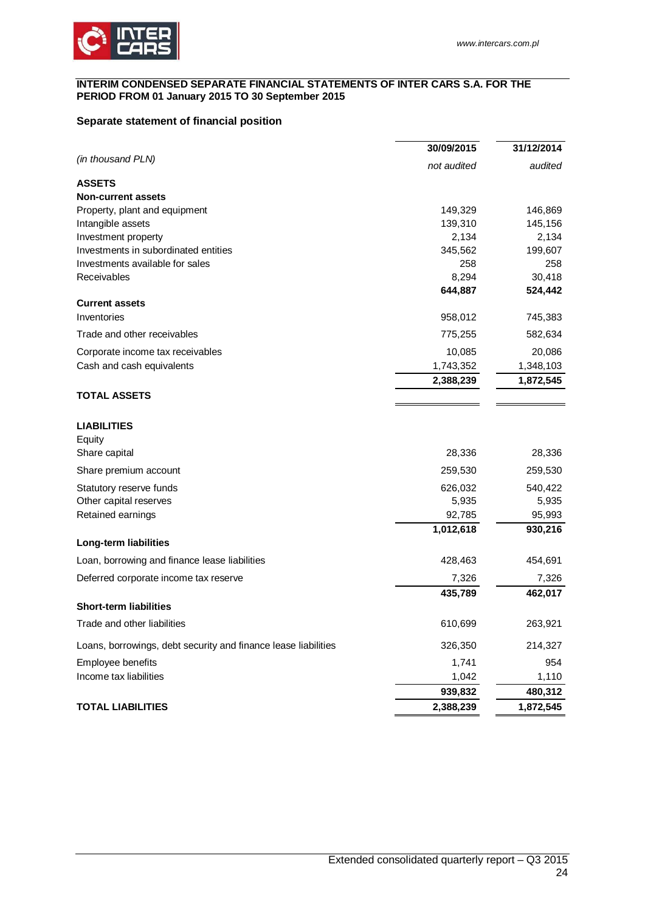### <span id="page-23-0"></span>**INTERIM CONDENSED SEPARATE FINANCIAL STATEMENTS OF INTER CARS S.A. FOR THE PERIOD FROM 01 January 2015 TO 30 September 2015**

# <span id="page-23-1"></span>**Separate statement of financial position**

|                                                                | 30/09/2015  | 31/12/2014 |
|----------------------------------------------------------------|-------------|------------|
| (in thousand PLN)                                              | not audited | audited    |
| <b>ASSETS</b>                                                  |             |            |
| <b>Non-current assets</b>                                      |             |            |
| Property, plant and equipment                                  | 149,329     | 146,869    |
| Intangible assets                                              | 139,310     | 145,156    |
| Investment property                                            | 2,134       | 2,134      |
| Investments in subordinated entities                           | 345,562     | 199,607    |
| Investments available for sales                                | 258         | 258        |
| Receivables                                                    | 8,294       | 30,418     |
|                                                                | 644,887     | 524,442    |
| <b>Current assets</b><br>Inventories                           |             |            |
|                                                                | 958,012     | 745,383    |
| Trade and other receivables                                    | 775,255     | 582,634    |
| Corporate income tax receivables                               | 10,085      | 20,086     |
| Cash and cash equivalents                                      | 1,743,352   | 1,348,103  |
|                                                                | 2,388,239   | 1,872,545  |
| <b>TOTAL ASSETS</b>                                            |             |            |
| <b>LIABILITIES</b>                                             |             |            |
| Equity                                                         |             |            |
| Share capital                                                  | 28,336      | 28,336     |
| Share premium account                                          | 259,530     | 259,530    |
|                                                                | 626,032     | 540,422    |
| Statutory reserve funds<br>Other capital reserves              | 5,935       | 5,935      |
| Retained earnings                                              | 92,785      | 95,993     |
|                                                                | 1,012,618   | 930,216    |
| Long-term liabilities                                          |             |            |
| Loan, borrowing and finance lease liabilities                  | 428,463     | 454,691    |
| Deferred corporate income tax reserve                          | 7,326       | 7,326      |
|                                                                | 435,789     | 462,017    |
| <b>Short-term liabilities</b>                                  |             |            |
| Trade and other liabilities                                    | 610,699     | 263,921    |
| Loans, borrowings, debt security and finance lease liabilities | 326,350     | 214,327    |
| Employee benefits                                              | 1,741       | 954        |
| Income tax liabilities                                         | 1,042       | 1,110      |
|                                                                | 939,832     | 480,312    |
| <b>TOTAL LIABILITIES</b>                                       | 2,388,239   | 1,872,545  |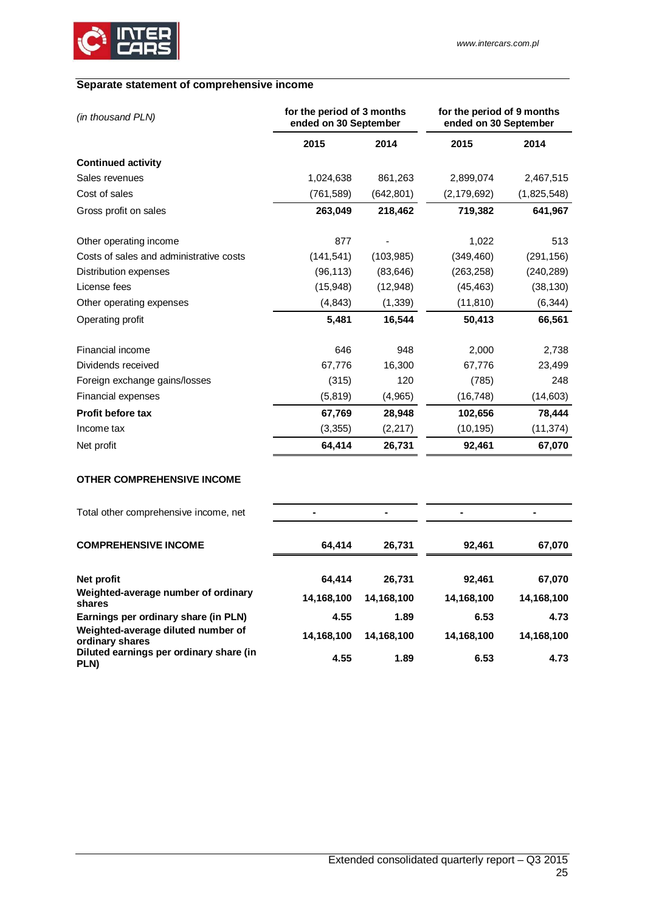

# <span id="page-24-0"></span>**Separate statement of comprehensive income**

| (in thousand PLN)                       | for the period of 3 months<br>ended on 30 September |            | for the period of 9 months<br>ended on 30 September |             |
|-----------------------------------------|-----------------------------------------------------|------------|-----------------------------------------------------|-------------|
|                                         | 2015                                                | 2014       | 2015                                                | 2014        |
| <b>Continued activity</b>               |                                                     |            |                                                     |             |
| Sales revenues                          | 1,024,638                                           | 861,263    | 2,899,074                                           | 2,467,515   |
| Cost of sales                           | (761, 589)                                          | (642, 801) | (2, 179, 692)                                       | (1,825,548) |
| Gross profit on sales                   | 263,049                                             | 218,462    | 719,382                                             | 641,967     |
| Other operating income                  | 877                                                 |            | 1,022                                               | 513         |
| Costs of sales and administrative costs | (141, 541)                                          | (103, 985) | (349, 460)                                          | (291, 156)  |
| Distribution expenses                   | (96, 113)                                           | (83, 646)  | (263, 258)                                          | (240, 289)  |
| License fees                            | (15, 948)                                           | (12,948)   | (45, 463)                                           | (38, 130)   |
| Other operating expenses                | (4, 843)                                            | (1, 339)   | (11, 810)                                           | (6, 344)    |
| Operating profit                        | 5,481                                               | 16,544     | 50,413                                              | 66,561      |
| Financial income                        | 646                                                 | 948        | 2,000                                               | 2,738       |
| Dividends received                      | 67,776                                              | 16,300     | 67,776                                              | 23,499      |
| Foreign exchange gains/losses           | (315)                                               | 120        | (785)                                               | 248         |
| <b>Financial expenses</b>               | (5, 819)                                            | (4,965)    | (16, 748)                                           | (14, 603)   |
| <b>Profit before tax</b>                | 67,769                                              | 28,948     | 102,656                                             | 78,444      |
| Income tax                              | (3, 355)                                            | (2,217)    | (10, 195)                                           | (11, 374)   |
| Net profit                              | 64,414                                              | 26,731     | 92,461                                              | 67,070      |

# **OTHER COMPREHENSIVE INCOME**

| Total other comprehensive income, net                 |            |            | ۰          |            |
|-------------------------------------------------------|------------|------------|------------|------------|
| <b>COMPREHENSIVE INCOME</b>                           | 64.414     | 26,731     | 92,461     | 67,070     |
|                                                       |            |            |            |            |
| Net profit                                            | 64.414     | 26,731     | 92,461     | 67,070     |
| Weighted-average number of ordinary<br>shares         | 14,168,100 | 14,168,100 | 14,168,100 | 14,168,100 |
| Earnings per ordinary share (in PLN)                  | 4.55       | 1.89       | 6.53       | 4.73       |
| Weighted-average diluted number of<br>ordinary shares | 14,168,100 | 14,168,100 | 14,168,100 | 14,168,100 |
| Diluted earnings per ordinary share (in<br>PLN)       | 4.55       | 1.89       | 6.53       | 4.73       |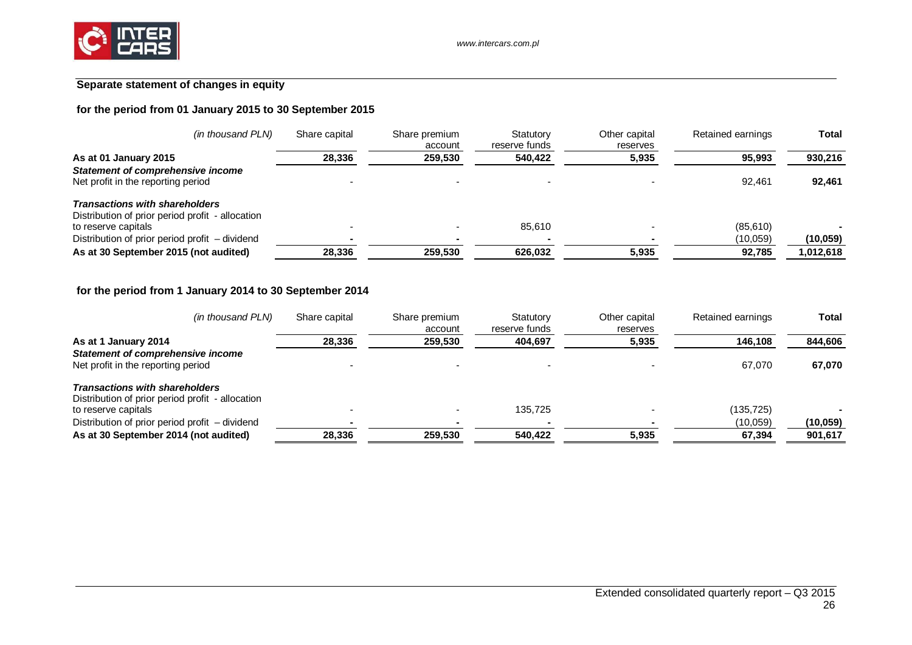

# **Separate statement of changes in equity**

# **for the period from 01 January 2015 to 30 September 2015**

| (in thousand PLN)                                | Share capital | Share premium<br>account | Statutory<br>reserve funds | Other capital<br>reserves | Retained earnings | Total     |
|--------------------------------------------------|---------------|--------------------------|----------------------------|---------------------------|-------------------|-----------|
| As at 01 January 2015                            | 28,336        | 259,530                  | 540,422                    | 5,935                     | 95,993            | 930,216   |
| <b>Statement of comprehensive income</b>         |               |                          |                            |                           |                   |           |
| Net profit in the reporting period               |               |                          |                            |                           | 92.461            | 92,461    |
| <b>Transactions with shareholders</b>            |               |                          |                            |                           |                   |           |
| Distribution of prior period profit - allocation |               |                          |                            |                           |                   |           |
| to reserve capitals                              |               |                          | 85.610                     |                           | (85,610)          |           |
| Distribution of prior period profit – dividend   |               |                          |                            |                           | (10,059)          | (10, 059) |
| As at 30 September 2015 (not audited)            | 28.336        | 259.530                  | 626.032                    | 5.935                     | 92,785            | .012,618  |

# **for the period from 1 January 2014 to 30 September 2014**

| (in thousand PLN)                                                                         | Share capital | Share premium<br>account | Statutory<br>reserve funds | Other capital<br>reserves | Retained earnings | Total     |
|-------------------------------------------------------------------------------------------|---------------|--------------------------|----------------------------|---------------------------|-------------------|-----------|
| As at 1 January 2014                                                                      | 28,336        | 259,530                  | 404,697                    | 5,935                     | 146,108           | 844,606   |
| <b>Statement of comprehensive income</b><br>Net profit in the reporting period            |               |                          |                            |                           | 67.070            | 67,070    |
| <b>Transactions with shareholders</b><br>Distribution of prior period profit - allocation |               |                          |                            |                           |                   |           |
| to reserve capitals                                                                       |               |                          | 135.725                    |                           | (135, 725)        |           |
| Distribution of prior period profit - dividend                                            |               |                          |                            |                           | (10,059)          | (10, 059) |
| As at 30 September 2014 (not audited)                                                     | 28,336        | 259.530                  | 540.422                    | 5,935                     | 67,394            | 901,617   |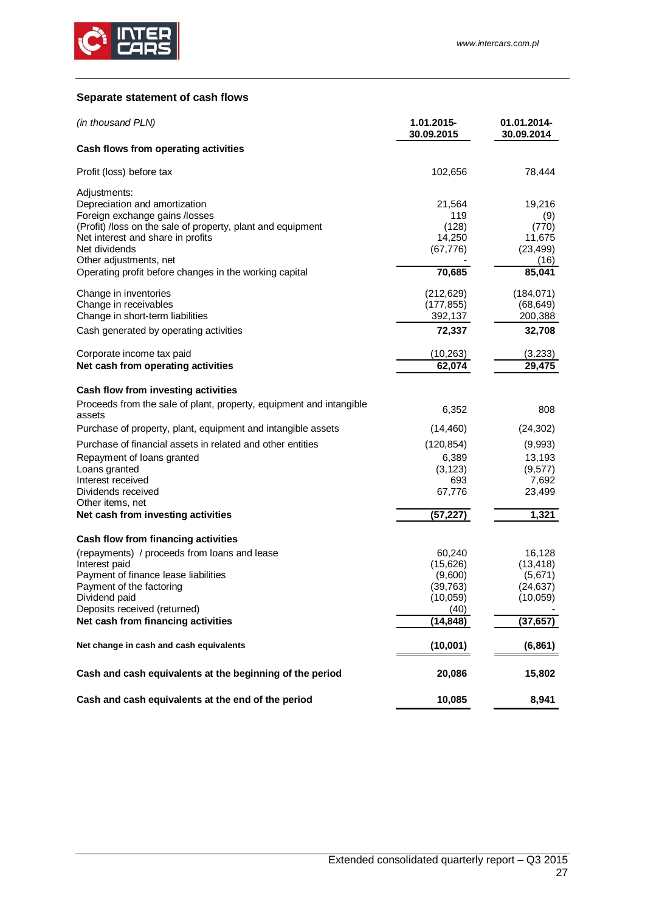

# <span id="page-26-0"></span>**Separate statement of cash flows**

| (in thousand PLN)                                                                             | 1.01.2015-<br>30.09.2015 | 01.01.2014-<br>30.09.2014 |
|-----------------------------------------------------------------------------------------------|--------------------------|---------------------------|
| Cash flows from operating activities                                                          |                          |                           |
| Profit (loss) before tax                                                                      | 102,656                  | 78,444                    |
| Adjustments:                                                                                  |                          |                           |
| Depreciation and amortization                                                                 | 21,564<br>119            | 19,216                    |
| Foreign exchange gains /losses<br>(Profit) /loss on the sale of property, plant and equipment | (128)                    | (9)<br>(770)              |
| Net interest and share in profits                                                             | 14,250                   | 11,675                    |
| Net dividends                                                                                 | (67, 776)                | (23, 499)                 |
| Other adjustments, net                                                                        |                          | (16)                      |
| Operating profit before changes in the working capital                                        | 70,685                   | 85,041                    |
| Change in inventories                                                                         | (212, 629)               | (184, 071)                |
| Change in receivables                                                                         | (177, 855)               | (68, 649)                 |
| Change in short-term liabilities                                                              | 392,137                  | 200,388                   |
| Cash generated by operating activities                                                        | 72,337                   | 32,708                    |
| Corporate income tax paid                                                                     | (10, 263)                | (3,233)                   |
| Net cash from operating activities                                                            | 62,074                   | 29,475                    |
| Cash flow from investing activities                                                           |                          |                           |
| Proceeds from the sale of plant, property, equipment and intangible<br>assets                 | 6,352                    | 808                       |
| Purchase of property, plant, equipment and intangible assets                                  | (14, 460)                | (24, 302)                 |
| Purchase of financial assets in related and other entities                                    | (120, 854)               | (9,993)                   |
| Repayment of loans granted                                                                    | 6,389                    | 13,193                    |
| Loans granted                                                                                 | (3, 123)                 | (9, 577)                  |
| Interest received                                                                             | 693                      | 7,692                     |
| Dividends received                                                                            | 67,776                   | 23,499                    |
| Other items, net                                                                              |                          |                           |
| Net cash from investing activities                                                            | (57, 227)                | 1,321                     |
| Cash flow from financing activities                                                           |                          |                           |
| (repayments) / proceeds from loans and lease                                                  | 60,240                   | 16,128                    |
| Interest paid                                                                                 | (15,626)                 | (13, 418)                 |
| Payment of finance lease liabilities                                                          | (9,600)                  | (5,671)                   |
| Payment of the factoring                                                                      | (39,763)<br>(10, 059)    | (24,637)                  |
| Dividend paid<br>Deposits received (returned)                                                 | (40)                     | (10,059)                  |
| Net cash from financing activities                                                            | (14,848)                 | (37,657)                  |
| Net change in cash and cash equivalents                                                       | (10,001)                 | (6, 861)                  |
|                                                                                               |                          |                           |
| Cash and cash equivalents at the beginning of the period                                      | 20,086                   | 15,802                    |
| Cash and cash equivalents at the end of the period                                            | 10,085                   | 8,941                     |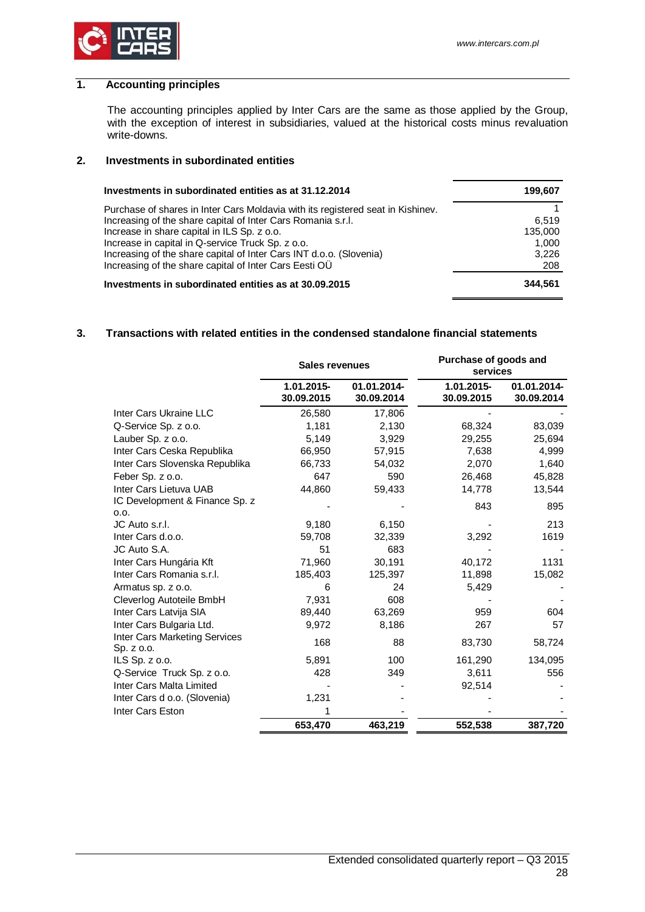

# <span id="page-27-0"></span>**1. Accounting principles**

The accounting principles applied by Inter Cars are the same as those applied by the Group, with the exception of interest in subsidiaries, valued at the historical costs minus revaluation write-downs.

# <span id="page-27-1"></span>**2. Investments in subordinated entities**

| Investments in subordinated entities as at 31.12.2014                           | 199,607 |
|---------------------------------------------------------------------------------|---------|
| Purchase of shares in Inter Cars Moldavia with its registered seat in Kishinev. |         |
| Increasing of the share capital of Inter Cars Romania s.r.l.                    | 6.519   |
| Increase in share capital in ILS Sp. z o.o.                                     | 135.000 |
| Increase in capital in Q-service Truck Sp. z o.o.                               | 1,000   |
| Increasing of the share capital of Inter Cars INT d.o.o. (Slovenia)             | 3,226   |
| Increasing of the share capital of Inter Cars Eesti OU                          | 208     |
| Investments in subordinated entities as at 30.09.2015                           | 344.561 |

### <span id="page-27-2"></span>**3. Transactions with related entities in the condensed standalone financial statements**

|                                             | <b>Sales revenues</b>    |                           | Purchase of goods and<br>services |                           |
|---------------------------------------------|--------------------------|---------------------------|-----------------------------------|---------------------------|
|                                             | 1.01.2015-<br>30.09.2015 | 01.01.2014-<br>30.09.2014 | 1.01.2015-<br>30.09.2015          | 01.01.2014-<br>30.09.2014 |
| Inter Cars Ukraine LLC                      | 26,580                   | 17,806                    |                                   |                           |
| Q-Service Sp. z o.o.                        | 1,181                    | 2,130                     | 68,324                            | 83,039                    |
| Lauber Sp. z o.o.                           | 5,149                    | 3,929                     | 29,255                            | 25,694                    |
| Inter Cars Ceska Republika                  | 66,950                   | 57,915                    | 7,638                             | 4,999                     |
| Inter Cars Slovenska Republika              | 66,733                   | 54,032                    | 2,070                             | 1,640                     |
| Feber Sp. z o.o.                            | 647                      | 590                       | 26,468                            | 45,828                    |
| Inter Cars Lietuva UAB                      | 44,860                   | 59,433                    | 14,778                            | 13,544                    |
| IC Development & Finance Sp. z<br>0.0.      |                          |                           | 843                               | 895                       |
| JC Auto s.r.l.                              | 9,180                    | 6,150                     |                                   | 213                       |
| Inter Cars d.o.o.                           | 59,708                   | 32,339                    | 3,292                             | 1619                      |
| JC Auto S.A.                                | 51                       | 683                       |                                   |                           |
| Inter Cars Hungária Kft                     | 71,960                   | 30,191                    | 40,172                            | 1131                      |
| Inter Cars Romania s.r.l.                   | 185,403                  | 125,397                   | 11,898                            | 15,082                    |
| Armatus sp. z o.o.                          | 6                        | 24                        | 5,429                             |                           |
| Cleverlog Autoteile BmbH                    | 7,931                    | 608                       |                                   |                           |
| Inter Cars Latvija SIA                      | 89,440                   | 63,269                    | 959                               | 604                       |
| Inter Cars Bulgaria Ltd.                    | 9,972                    | 8,186                     | 267                               | 57                        |
| Inter Cars Marketing Services<br>Sp. z o.o. | 168                      | 88                        | 83,730                            | 58,724                    |
| ILS Sp. $z$ o.o.                            | 5,891                    | 100                       | 161,290                           | 134,095                   |
| Q-Service Truck Sp. z o.o.                  | 428                      | 349                       | 3,611                             | 556                       |
| Inter Cars Malta Limited                    |                          |                           | 92,514                            |                           |
| Inter Cars d o.o. (Slovenia)                | 1,231                    |                           |                                   |                           |
| Inter Cars Eston                            | 1                        |                           |                                   |                           |
|                                             | 653,470                  | 463,219                   | 552,538                           | 387,720                   |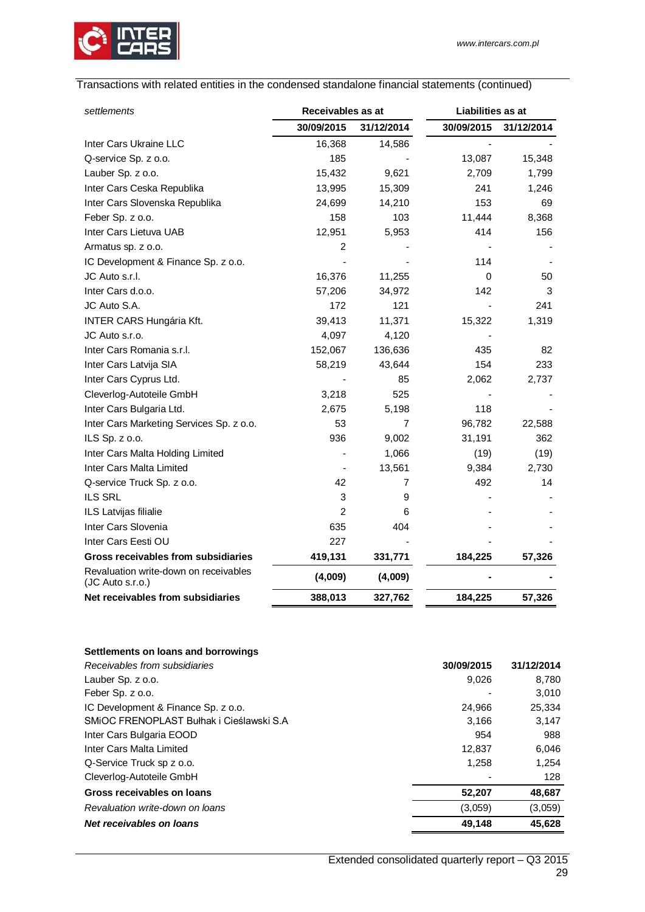

# Transactions with related entities in the condensed standalone financial statements (continued)

| settlements                                               | Receivables as at |            | Liabilities as at |            |
|-----------------------------------------------------------|-------------------|------------|-------------------|------------|
|                                                           | 30/09/2015        | 31/12/2014 | 30/09/2015        | 31/12/2014 |
| Inter Cars Ukraine LLC                                    | 16,368            | 14,586     |                   |            |
| Q-service Sp. z o.o.                                      | 185               |            | 13,087            | 15,348     |
| Lauber Sp. z o.o.                                         | 15,432            | 9,621      | 2,709             | 1,799      |
| Inter Cars Ceska Republika                                | 13,995            | 15,309     | 241               | 1,246      |
| Inter Cars Slovenska Republika                            | 24,699            | 14,210     | 153               | 69         |
| Feber Sp. z o.o.                                          | 158               | 103        | 11,444            | 8,368      |
| Inter Cars Lietuva UAB                                    | 12,951            | 5,953      | 414               | 156        |
| Armatus sp. z o.o.                                        | 2                 |            |                   |            |
| IC Development & Finance Sp. z o.o.                       |                   |            | 114               |            |
| JC Auto s.r.l.                                            | 16,376            | 11,255     | 0                 | 50         |
| Inter Cars d.o.o.                                         | 57,206            | 34,972     | 142               | 3          |
| JC Auto S.A.                                              | 172               | 121        |                   | 241        |
| <b>INTER CARS Hungária Kft.</b>                           | 39,413            | 11,371     | 15,322            | 1,319      |
| JC Auto s.r.o.                                            | 4,097             | 4,120      |                   |            |
| Inter Cars Romania s.r.l.                                 | 152,067           | 136,636    | 435               | 82         |
| Inter Cars Latvija SIA                                    | 58,219            | 43,644     | 154               | 233        |
| Inter Cars Cyprus Ltd.                                    |                   | 85         | 2,062             | 2,737      |
| Cleverlog-Autoteile GmbH                                  | 3,218             | 525        |                   |            |
| Inter Cars Bulgaria Ltd.                                  | 2,675             | 5,198      | 118               |            |
| Inter Cars Marketing Services Sp. z o.o.                  | 53                | 7          | 96,782            | 22,588     |
| ILS Sp. z o.o.                                            | 936               | 9,002      | 31,191            | 362        |
| Inter Cars Malta Holding Limited                          |                   | 1,066      | (19)              | (19)       |
| Inter Cars Malta Limited                                  |                   | 13,561     | 9,384             | 2,730      |
| Q-service Truck Sp. z o.o.                                | 42                | 7          | 492               | 14         |
| <b>ILS SRL</b>                                            | 3                 | 9          |                   |            |
| ILS Latvijas filialie                                     | $\overline{2}$    | 6          |                   |            |
| Inter Cars Slovenia                                       | 635               | 404        |                   |            |
| Inter Cars Eesti OU                                       | 227               |            |                   |            |
| Gross receivables from subsidiaries                       | 419,131           | 331,771    | 184,225           | 57,326     |
| Revaluation write-down on receivables<br>(JC Auto s.r.o.) | (4,009)           | (4,009)    |                   |            |
| Net receivables from subsidiaries                         | 388,013           | 327,762    | 184,225           | 57,326     |

### **Settlements on loans and borrowings**

| Receivables from subsidiaries            | 30/09/2015 | 31/12/2014 |
|------------------------------------------|------------|------------|
| Lauber Sp. z o.o.                        | 9.026      | 8,780      |
| Feber Sp. z o.o.                         |            | 3.010      |
| IC Development & Finance Sp. z o.o.      | 24,966     | 25,334     |
| SMIOC FRENOPLAST Bułhak i Cieślawski S.A | 3.166      | 3,147      |
| Inter Cars Bulgaria EOOD                 | 954        | 988        |
| Inter Cars Malta Limited                 | 12.837     | 6,046      |
| Q-Service Truck sp z o.o.                | 1,258      | 1,254      |
| Cleverlog-Autoteile GmbH                 |            | 128        |
| Gross receivables on loans               | 52,207     | 48,687     |
| Revaluation write-down on loans          | (3,059)    | (3,059)    |
| Net receivables on loans                 | 49.148     | 45.628     |